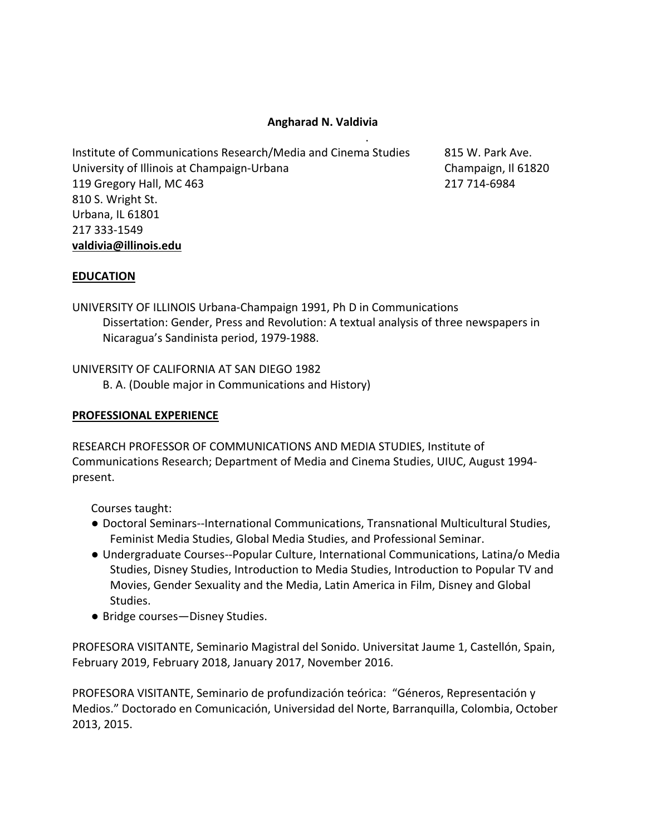# **Angharad N. Valdivia** .

Institute of Communications Research/Media and Cinema Studies 815 W. Park Ave. University of Illinois at Champaign-Urbana Champaign, Il 61820 119 Gregory Hall, MC 463 217 714-6984 810 S. Wright St. Urbana, IL 61801 217 333-1549 **valdivia@illinois.edu**

## **EDUCATION**

UNIVERSITY OF ILLINOIS Urbana-Champaign 1991, Ph D in Communications Dissertation: Gender, Press and Revolution: A textual analysis of three newspapers in Nicaragua's Sandinista period, 1979-1988.

UNIVERSITY OF CALIFORNIA AT SAN DIEGO 1982 B. A. (Double major in Communications and History)

### **PROFESSIONAL EXPERIENCE**

RESEARCH PROFESSOR OF COMMUNICATIONS AND MEDIA STUDIES, Institute of Communications Research; Department of Media and Cinema Studies, UIUC, August 1994 present.

Courses taught:

- Doctoral Seminars--International Communications, Transnational Multicultural Studies, Feminist Media Studies, Global Media Studies, and Professional Seminar.
- Undergraduate Courses--Popular Culture, International Communications, Latina/o Media Studies, Disney Studies, Introduction to Media Studies, Introduction to Popular TV and Movies, Gender Sexuality and the Media, Latin America in Film, Disney and Global Studies.
- Bridge courses—Disney Studies.

PROFESORA VISITANTE, Seminario Magistral del Sonido. Universitat Jaume 1, Castellón, Spain, February 2019, February 2018, January 2017, November 2016.

PROFESORA VISITANTE, Seminario de profundización teórica: "Géneros, Representación y Medios." Doctorado en Comunicación, Universidad del Norte, Barranquilla, Colombia, October 2013, 2015.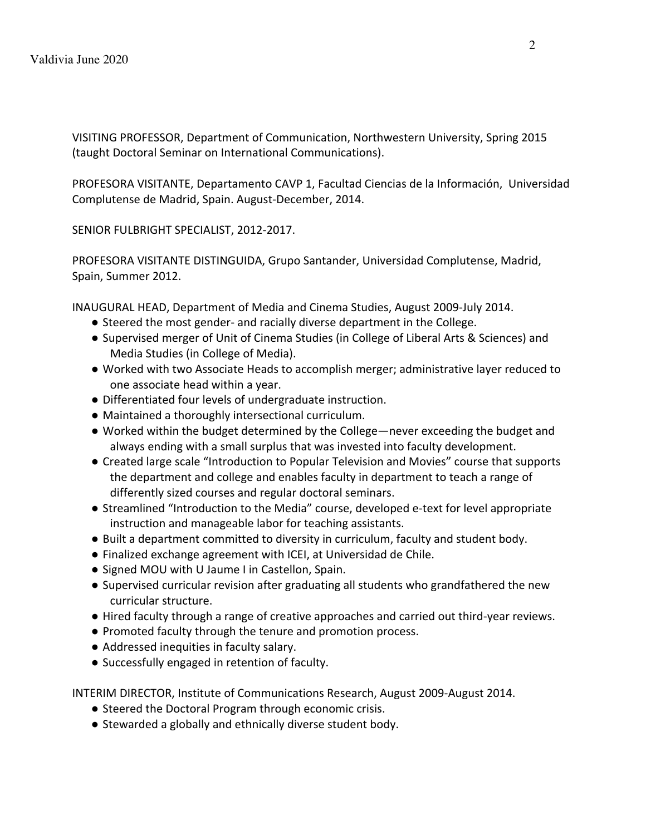VISITING PROFESSOR, Department of Communication, Northwestern University, Spring 2015 (taught Doctoral Seminar on International Communications).

PROFESORA VISITANTE, Departamento CAVP 1, Facultad Ciencias de la Información, Universidad Complutense de Madrid, Spain. August-December, 2014.

SENIOR FULBRIGHT SPECIALIST, 2012-2017.

PROFESORA VISITANTE DISTINGUIDA, Grupo Santander, Universidad Complutense, Madrid, Spain, Summer 2012.

INAUGURAL HEAD, Department of Media and Cinema Studies, August 2009-July 2014.

- Steered the most gender- and racially diverse department in the College.
- Supervised merger of Unit of Cinema Studies (in College of Liberal Arts & Sciences) and Media Studies (in College of Media).
- Worked with two Associate Heads to accomplish merger; administrative layer reduced to one associate head within a year.
- Differentiated four levels of undergraduate instruction.
- Maintained a thoroughly intersectional curriculum.
- Worked within the budget determined by the College—never exceeding the budget and always ending with a small surplus that was invested into faculty development.
- Created large scale "Introduction to Popular Television and Movies" course that supports the department and college and enables faculty in department to teach a range of differently sized courses and regular doctoral seminars.
- Streamlined "Introduction to the Media" course, developed e-text for level appropriate instruction and manageable labor for teaching assistants.
- Built a department committed to diversity in curriculum, faculty and student body.
- Finalized exchange agreement with ICEI, at Universidad de Chile.
- Signed MOU with U Jaume I in Castellon, Spain.
- Supervised curricular revision after graduating all students who grandfathered the new curricular structure.
- Hired faculty through a range of creative approaches and carried out third-year reviews.
- Promoted faculty through the tenure and promotion process.
- Addressed inequities in faculty salary.
- Successfully engaged in retention of faculty.

INTERIM DIRECTOR, Institute of Communications Research, August 2009-August 2014.

- Steered the Doctoral Program through economic crisis.
- Stewarded a globally and ethnically diverse student body.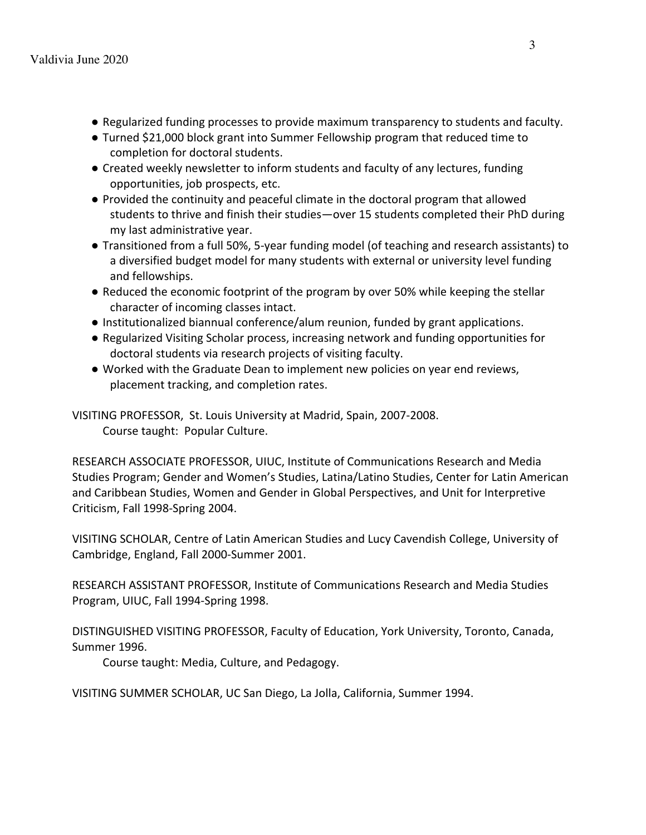- Regularized funding processes to provide maximum transparency to students and faculty.
- Turned \$21,000 block grant into Summer Fellowship program that reduced time to completion for doctoral students.
- Created weekly newsletter to inform students and faculty of any lectures, funding opportunities, job prospects, etc.
- Provided the continuity and peaceful climate in the doctoral program that allowed students to thrive and finish their studies—over 15 students completed their PhD during my last administrative year.
- Transitioned from a full 50%, 5-year funding model (of teaching and research assistants) to a diversified budget model for many students with external or university level funding and fellowships.
- Reduced the economic footprint of the program by over 50% while keeping the stellar character of incoming classes intact.
- Institutionalized biannual conference/alum reunion, funded by grant applications.
- Regularized Visiting Scholar process, increasing network and funding opportunities for doctoral students via research projects of visiting faculty.
- Worked with the Graduate Dean to implement new policies on year end reviews, placement tracking, and completion rates.

VISITING PROFESSOR, St. Louis University at Madrid, Spain, 2007-2008. Course taught: Popular Culture.

RESEARCH ASSOCIATE PROFESSOR, UIUC, Institute of Communications Research and Media Studies Program; Gender and Women's Studies, Latina/Latino Studies, Center for Latin American and Caribbean Studies, Women and Gender in Global Perspectives, and Unit for Interpretive Criticism, Fall 1998-Spring 2004.

VISITING SCHOLAR, Centre of Latin American Studies and Lucy Cavendish College, University of Cambridge, England, Fall 2000-Summer 2001.

RESEARCH ASSISTANT PROFESSOR, Institute of Communications Research and Media Studies Program, UIUC, Fall 1994-Spring 1998.

DISTINGUISHED VISITING PROFESSOR, Faculty of Education, York University, Toronto, Canada, Summer 1996.

Course taught: Media, Culture, and Pedagogy.

VISITING SUMMER SCHOLAR, UC San Diego, La Jolla, California, Summer 1994.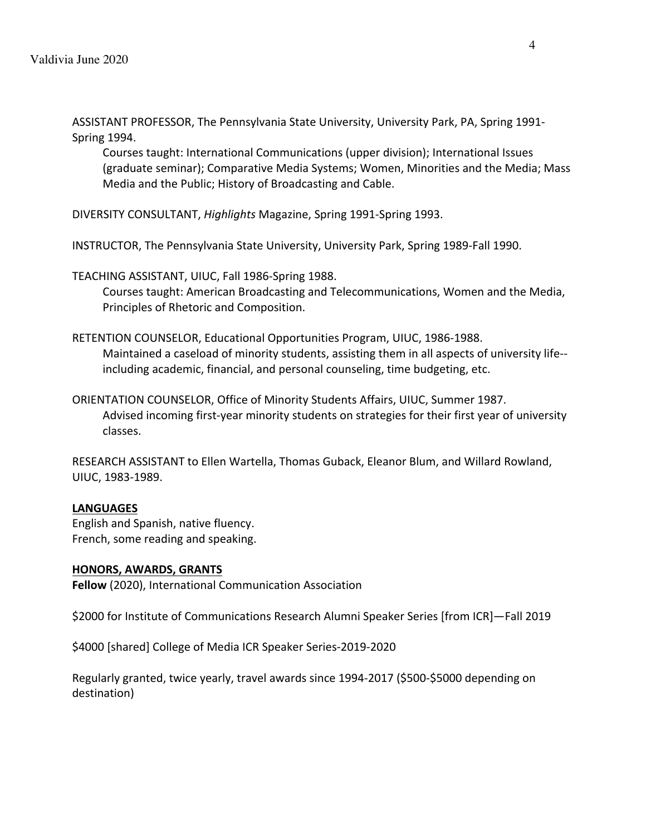ASSISTANT PROFESSOR, The Pennsylvania State University, University Park, PA, Spring 1991- Spring 1994.

Courses taught: International Communications (upper division); International Issues (graduate seminar); Comparative Media Systems; Women, Minorities and the Media; Mass Media and the Public; History of Broadcasting and Cable.

DIVERSITY CONSULTANT, *Highlights* Magazine, Spring 1991-Spring 1993.

INSTRUCTOR, The Pennsylvania State University, University Park, Spring 1989-Fall 1990.

TEACHING ASSISTANT, UIUC, Fall 1986-Spring 1988. Courses taught: American Broadcasting and Telecommunications, Women and the Media, Principles of Rhetoric and Composition.

- RETENTION COUNSELOR, Educational Opportunities Program, UIUC, 1986-1988. Maintained a caseload of minority students, assisting them in all aspects of university life- including academic, financial, and personal counseling, time budgeting, etc.
- ORIENTATION COUNSELOR, Office of Minority Students Affairs, UIUC, Summer 1987. Advised incoming first-year minority students on strategies for their first year of university classes.

RESEARCH ASSISTANT to Ellen Wartella, Thomas Guback, Eleanor Blum, and Willard Rowland, UIUC, 1983-1989.

## **LANGUAGES**

English and Spanish, native fluency. French, some reading and speaking.

### **HONORS, AWARDS, GRANTS**

**Fellow** (2020), International Communication Association

\$2000 for Institute of Communications Research Alumni Speaker Series [from ICR]—Fall 2019

\$4000 [shared] College of Media ICR Speaker Series-2019-2020

Regularly granted, twice yearly, travel awards since 1994-2017 (\$500-\$5000 depending on destination)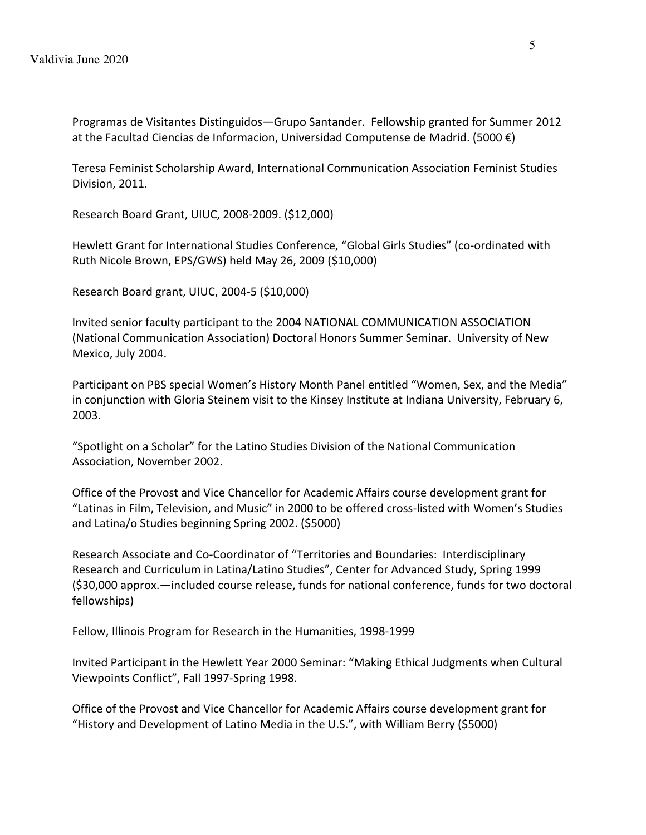Programas de Visitantes Distinguidos—Grupo Santander. Fellowship granted for Summer 2012 at the Facultad Ciencias de Informacion, Universidad Computense de Madrid. (5000 €)

Teresa Feminist Scholarship Award, International Communication Association Feminist Studies Division, 2011.

Research Board Grant, UIUC, 2008-2009. (\$12,000)

Hewlett Grant for International Studies Conference, "Global Girls Studies" (co-ordinated with Ruth Nicole Brown, EPS/GWS) held May 26, 2009 (\$10,000)

Research Board grant, UIUC, 2004-5 (\$10,000)

Invited senior faculty participant to the 2004 NATIONAL COMMUNICATION ASSOCIATION (National Communication Association) Doctoral Honors Summer Seminar. University of New Mexico, July 2004.

Participant on PBS special Women's History Month Panel entitled "Women, Sex, and the Media" in conjunction with Gloria Steinem visit to the Kinsey Institute at Indiana University, February 6, 2003.

"Spotlight on a Scholar" for the Latino Studies Division of the National Communication Association, November 2002.

Office of the Provost and Vice Chancellor for Academic Affairs course development grant for "Latinas in Film, Television, and Music" in 2000 to be offered cross-listed with Women's Studies and Latina/o Studies beginning Spring 2002. (\$5000)

Research Associate and Co-Coordinator of "Territories and Boundaries: Interdisciplinary Research and Curriculum in Latina/Latino Studies", Center for Advanced Study, Spring 1999 (\$30,000 approx.—included course release, funds for national conference, funds for two doctoral fellowships)

Fellow, Illinois Program for Research in the Humanities, 1998-1999

Invited Participant in the Hewlett Year 2000 Seminar: "Making Ethical Judgments when Cultural Viewpoints Conflict", Fall 1997-Spring 1998.

Office of the Provost and Vice Chancellor for Academic Affairs course development grant for "History and Development of Latino Media in the U.S.", with William Berry (\$5000)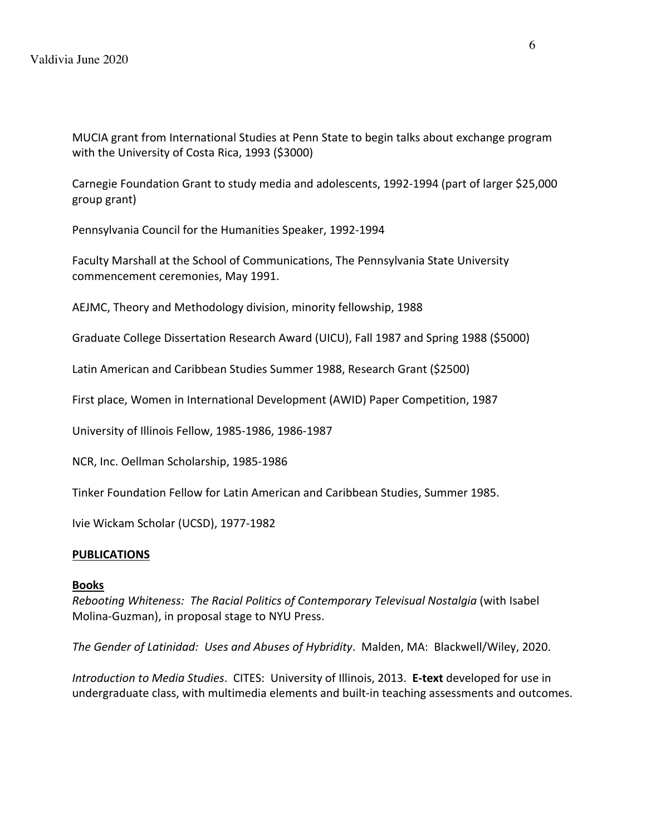MUCIA grant from International Studies at Penn State to begin talks about exchange program with the University of Costa Rica, 1993 (\$3000)

Carnegie Foundation Grant to study media and adolescents, 1992-1994 (part of larger \$25,000 group grant)

Pennsylvania Council for the Humanities Speaker, 1992-1994

Faculty Marshall at the School of Communications, The Pennsylvania State University commencement ceremonies, May 1991.

AEJMC, Theory and Methodology division, minority fellowship, 1988

Graduate College Dissertation Research Award (UICU), Fall 1987 and Spring 1988 (\$5000)

Latin American and Caribbean Studies Summer 1988, Research Grant (\$2500)

First place, Women in International Development (AWID) Paper Competition, 1987

University of Illinois Fellow, 1985-1986, 1986-1987

NCR, Inc. Oellman Scholarship, 1985-1986

Tinker Foundation Fellow for Latin American and Caribbean Studies, Summer 1985.

Ivie Wickam Scholar (UCSD), 1977-1982

### **PUBLICATIONS**

### **Books**

*Rebooting Whiteness: The Racial Politics of Contemporary Televisual Nostalgia* (with Isabel Molina-Guzman), in proposal stage to NYU Press.

*The Gender of Latinidad: Uses and Abuses of Hybridity*. Malden, MA: Blackwell/Wiley, 2020.

*Introduction to Media Studies*. CITES: University of Illinois, 2013. **E-text** developed for use in undergraduate class, with multimedia elements and built-in teaching assessments and outcomes.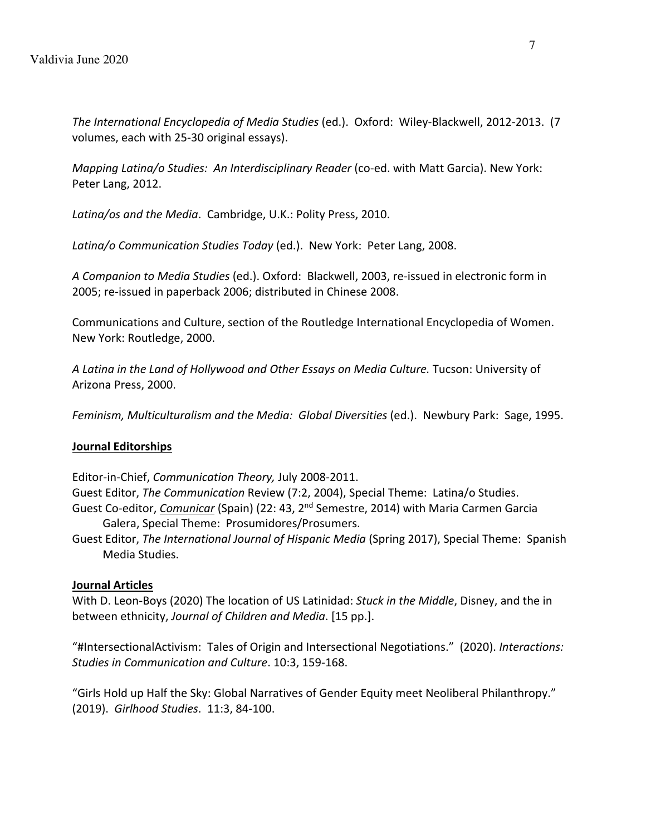*The International Encyclopedia of Media Studies* (ed.). Oxford: Wiley-Blackwell, 2012-2013. (7 volumes, each with 25-30 original essays).

*Mapping Latina/o Studies: An Interdisciplinary Reader* (co-ed. with Matt Garcia). New York: Peter Lang, 2012.

*Latina/os and the Media*. Cambridge, U.K.: Polity Press, 2010.

*Latina/o Communication Studies Today* (ed.). New York: Peter Lang, 2008.

*A Companion to Media Studies* (ed.). Oxford: Blackwell, 2003, re-issued in electronic form in 2005; re-issued in paperback 2006; distributed in Chinese 2008.

Communications and Culture, section of the Routledge International Encyclopedia of Women. New York: Routledge, 2000.

*A Latina in the Land of Hollywood and Other Essays on Media Culture.* Tucson: University of Arizona Press, 2000.

*Feminism, Multiculturalism and the Media: Global Diversities* (ed.). Newbury Park: Sage, 1995.

## **Journal Editorships**

Editor-in-Chief, *Communication Theory,* July 2008-2011.

Guest Editor, *The Communication* Review (7:2, 2004), Special Theme: Latina/o Studies.

- Guest Co-editor, *Comunicar* (Spain) (22: 43, 2nd Semestre, 2014) with Maria Carmen Garcia Galera, Special Theme: Prosumidores/Prosumers.
- Guest Editor, *The International Journal of Hispanic Media* (Spring 2017), Special Theme: Spanish Media Studies.

## **Journal Articles**

With D. Leon-Boys (2020) The location of US Latinidad: *Stuck in the Middle*, Disney, and the in between ethnicity, *Journal of Children and Media*. [15 pp.].

"#IntersectionalActivism: Tales of Origin and Intersectional Negotiations." (2020). *Interactions: Studies in Communication and Culture*. 10:3, 159-168.

"Girls Hold up Half the Sky: Global Narratives of Gender Equity meet Neoliberal Philanthropy." (2019). *Girlhood Studies*. 11:3, 84-100.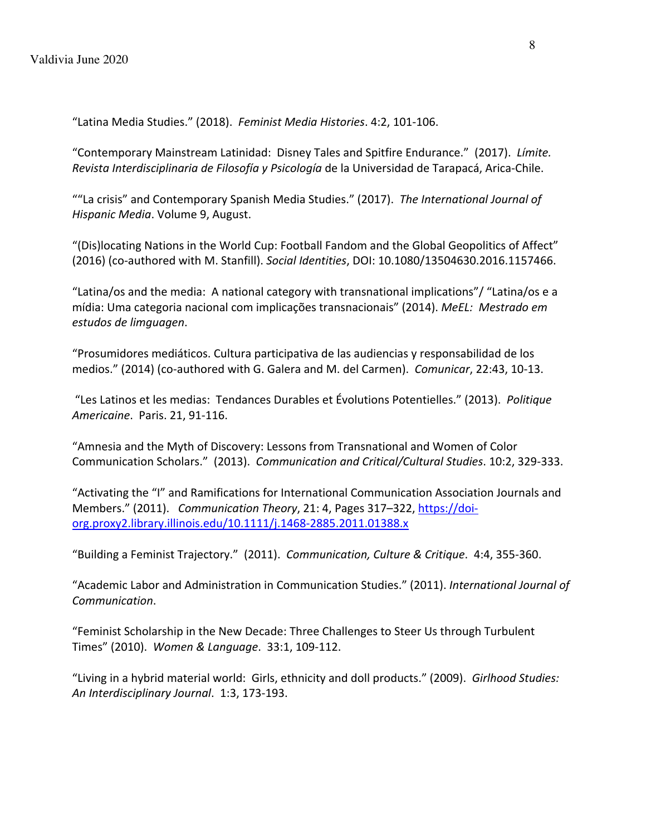"Latina Media Studies." (2018). *Feminist Media Histories*. 4:2, 101-106.

"Contemporary Mainstream Latinidad: Disney Tales and Spitfire Endurance." (2017). *Límite. Revista Interdisciplinaria de Filosofía y Psicología* de la Universidad de Tarapacá, Arica-Chile.

""La crisis" and Contemporary Spanish Media Studies." (2017). *The International Journal of Hispanic Media*. Volume 9, August.

"(Dis)locating Nations in the World Cup: Football Fandom and the Global Geopolitics of Affect" (2016) (co-authored with M. Stanfill). *Social Identities*, DOI: 10.1080/13504630.2016.1157466.

"Latina/os and the media: A national category with transnational implications"/ "Latina/os e a mídia: Uma categoria nacional com implicações transnacionais" (2014). *MeEL: Mestrado em estudos de limguagen*.

"Prosumidores mediáticos. Cultura participativa de las audiencias y responsabilidad de los medios." (2014) (co-authored with G. Galera and M. del Carmen). *Comunicar*, 22:43, 10-13.

"Les Latinos et les medias: Tendances Durables et Évolutions Potentielles." (2013). *Politique Americaine*. Paris. 21, 91-116.

"Amnesia and the Myth of Discovery: Lessons from Transnational and Women of Color Communication Scholars." (2013). *Communication and Critical/Cultural Studies*. 10:2, 329-333.

"Activating the "I" and Ramifications for International Communication Association Journals and Members." (2011). *Communication Theory*, 21: 4, Pages 317–322, https://doiorg.proxy2.library.illinois.edu/10.1111/j.1468-2885.2011.01388.x

"Building a Feminist Trajectory." (2011). *Communication, Culture & Critique*. 4:4, 355-360.

"Academic Labor and Administration in Communication Studies." (2011). *International Journal of Communication*.

"Feminist Scholarship in the New Decade: Three Challenges to Steer Us through Turbulent Times" (2010). *Women & Language*. 33:1, 109-112.

"Living in a hybrid material world: Girls, ethnicity and doll products." (2009). *Girlhood Studies: An Interdisciplinary Journal*. 1:3, 173-193.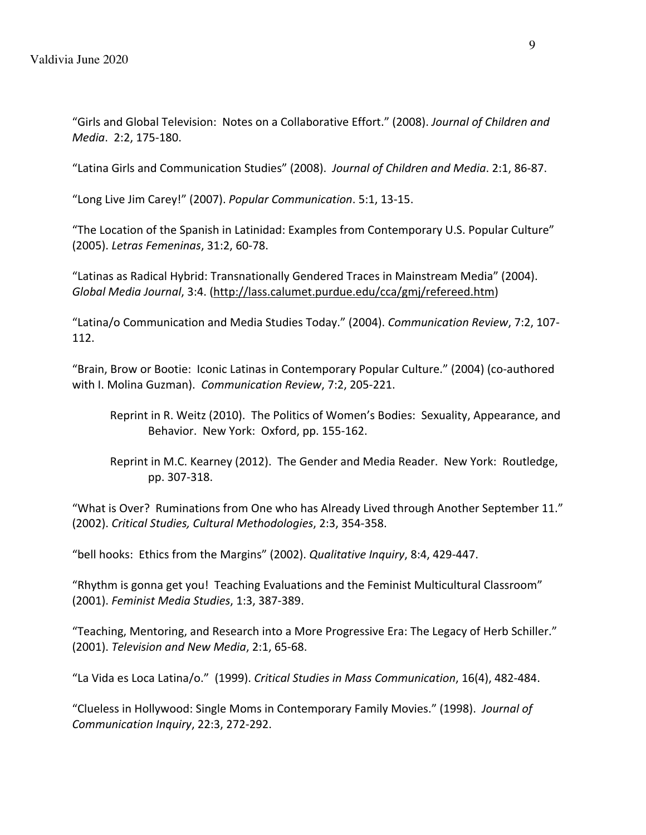"Girls and Global Television: Notes on a Collaborative Effort." (2008). *Journal of Children and Media*. 2:2, 175-180.

"Latina Girls and Communication Studies" (2008). *Journal of Children and Media*. 2:1, 86-87.

"Long Live Jim Carey!" (2007). *Popular Communication*. 5:1, 13-15.

"The Location of the Spanish in Latinidad: Examples from Contemporary U.S. Popular Culture" (2005). *Letras Femeninas*, 31:2, 60-78.

"Latinas as Radical Hybrid: Transnationally Gendered Traces in Mainstream Media" (2004). *Global Media Journal*, 3:4. (http://lass.calumet.purdue.edu/cca/gmj/refereed.htm)

"Latina/o Communication and Media Studies Today." (2004). *Communication Review*, 7:2, 107- 112.

"Brain, Brow or Bootie: Iconic Latinas in Contemporary Popular Culture." (2004) (co-authored with I. Molina Guzman). *Communication Review*, 7:2, 205-221.

- Reprint in R. Weitz (2010). The Politics of Women's Bodies: Sexuality, Appearance, and Behavior. New York: Oxford, pp. 155-162.
- Reprint in M.C. Kearney (2012). The Gender and Media Reader. New York: Routledge, pp. 307-318.

"What is Over? Ruminations from One who has Already Lived through Another September 11." (2002). *Critical Studies, Cultural Methodologies*, 2:3, 354-358.

"bell hooks: Ethics from the Margins" (2002). *Qualitative Inquiry*, 8:4, 429-447.

"Rhythm is gonna get you! Teaching Evaluations and the Feminist Multicultural Classroom" (2001). *Feminist Media Studies*, 1:3, 387-389.

"Teaching, Mentoring, and Research into a More Progressive Era: The Legacy of Herb Schiller." (2001). *Television and New Media*, 2:1, 65-68.

"La Vida es Loca Latina/o." (1999). *Critical Studies in Mass Communication*, 16(4), 482-484.

"Clueless in Hollywood: Single Moms in Contemporary Family Movies." (1998). *Journal of Communication Inquiry*, 22:3, 272-292.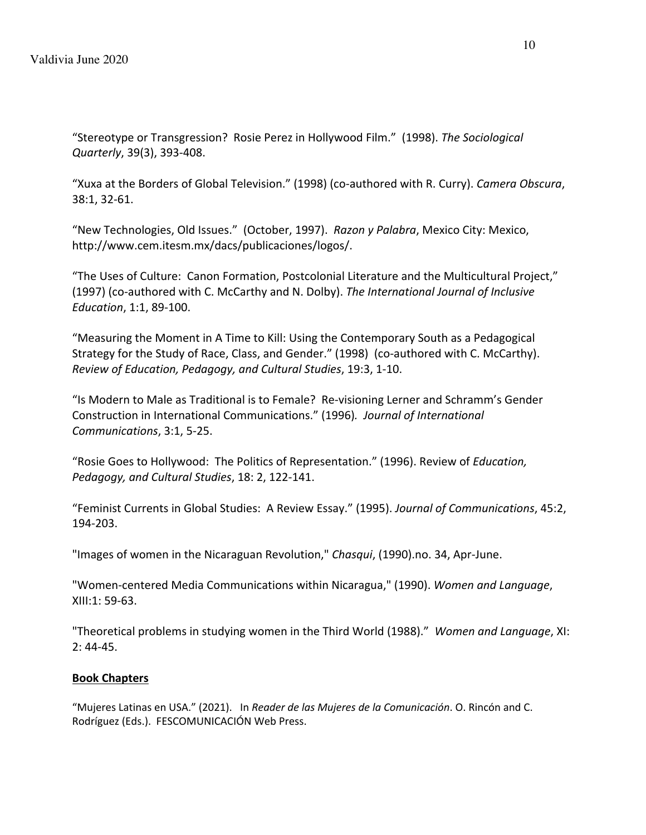"Stereotype or Transgression? Rosie Perez in Hollywood Film." (1998). *The Sociological Quarterly*, 39(3), 393-408.

"Xuxa at the Borders of Global Television." (1998) (co-authored with R. Curry). *Camera Obscura*, 38:1, 32-61.

"New Technologies, Old Issues." (October, 1997). *Razon y Palabra*, Mexico City: Mexico, http://www.cem.itesm.mx/dacs/publicaciones/logos/.

"The Uses of Culture: Canon Formation, Postcolonial Literature and the Multicultural Project," (1997) (co-authored with C. McCarthy and N. Dolby). *The International Journal of Inclusive Education*, 1:1, 89-100.

"Measuring the Moment in A Time to Kill: Using the Contemporary South as a Pedagogical Strategy for the Study of Race, Class, and Gender." (1998) (co-authored with C. McCarthy). *Review of Education, Pedagogy, and Cultural Studies*, 19:3, 1-10.

"Is Modern to Male as Traditional is to Female? Re-visioning Lerner and Schramm's Gender Construction in International Communications." (1996)*. Journal of International Communications*, 3:1, 5-25.

"Rosie Goes to Hollywood: The Politics of Representation." (1996). Review of *Education, Pedagogy, and Cultural Studies*, 18: 2, 122-141.

"Feminist Currents in Global Studies: A Review Essay." (1995). *Journal of Communications*, 45:2, 194-203.

"Images of women in the Nicaraguan Revolution," *Chasqui*, (1990).no. 34, Apr-June.

"Women-centered Media Communications within Nicaragua," (1990). *Women and Language*, XIII:1: 59-63.

"Theoretical problems in studying women in the Third World (1988)." *Women and Language*, XI: 2: 44-45.

## **Book Chapters**

"Mujeres Latinas en USA." (2021). In *Reader de las Mujeres de la Comunicación*. O. Rincón and C. Rodríguez (Eds.). FESCOMUNICACIÓN Web Press.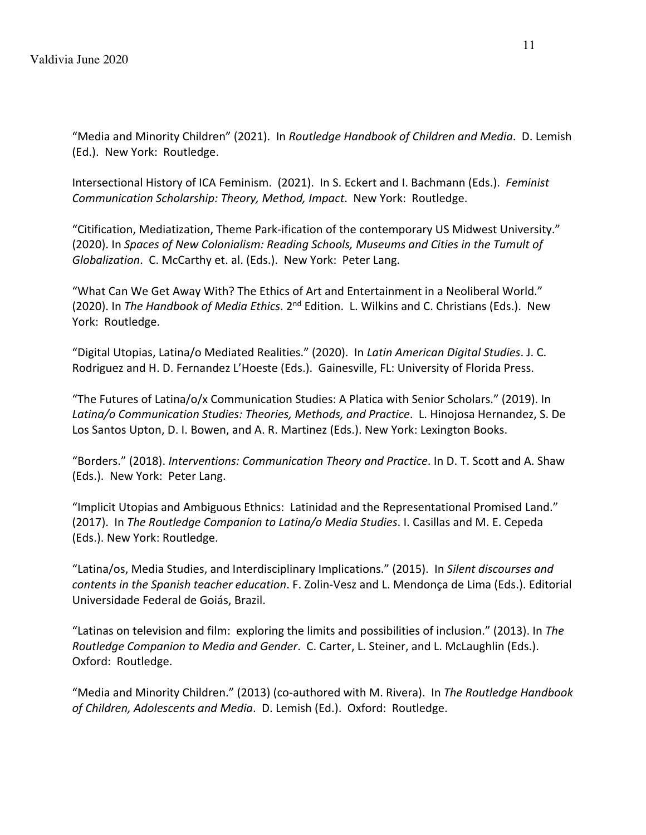"Media and Minority Children" (2021). In *Routledge Handbook of Children and Media*. D. Lemish (Ed.). New York: Routledge.

Intersectional History of ICA Feminism. (2021). In S. Eckert and I. Bachmann (Eds.). *Feminist Communication Scholarship: Theory, Method, Impact*. New York: Routledge.

"Citification, Mediatization, Theme Park-ification of the contemporary US Midwest University." (2020). In *Spaces of New Colonialism: Reading Schools, Museums and Cities in the Tumult of Globalization*. C. McCarthy et. al. (Eds.). New York: Peter Lang.

"What Can We Get Away With? The Ethics of Art and Entertainment in a Neoliberal World." (2020). In *The Handbook of Media Ethics*. 2nd Edition. L. Wilkins and C. Christians (Eds.). New York: Routledge.

"Digital Utopias, Latina/o Mediated Realities." (2020). In *Latin American Digital Studies*. J. C. Rodriguez and H. D. Fernandez L'Hoeste (Eds.). Gainesville, FL: University of Florida Press.

"The Futures of Latina/o/x Communication Studies: A Platica with Senior Scholars." (2019). In *Latina/o Communication Studies: Theories, Methods, and Practice*. L. Hinojosa Hernandez, S. De Los Santos Upton, D. I. Bowen, and A. R. Martinez (Eds.). New York: Lexington Books.

"Borders." (2018). *Interventions: Communication Theory and Practice*. In D. T. Scott and A. Shaw (Eds.). New York: Peter Lang.

"Implicit Utopias and Ambiguous Ethnics: Latinidad and the Representational Promised Land." (2017). In *The Routledge Companion to Latina/o Media Studies*. I. Casillas and M. E. Cepeda (Eds.). New York: Routledge.

"Latina/os, Media Studies, and Interdisciplinary Implications." (2015). In *Silent discourses and contents in the Spanish teacher education*. F. Zolin-Vesz and L. Mendonça de Lima (Eds.). Editorial Universidade Federal de Goiás, Brazil.

"Latinas on television and film: exploring the limits and possibilities of inclusion." (2013). In *The Routledge Companion to Media and Gender*. C. Carter, L. Steiner, and L. McLaughlin (Eds.). Oxford: Routledge.

"Media and Minority Children." (2013) (co-authored with M. Rivera). In *The Routledge Handbook of Children, Adolescents and Media*. D. Lemish (Ed.). Oxford: Routledge.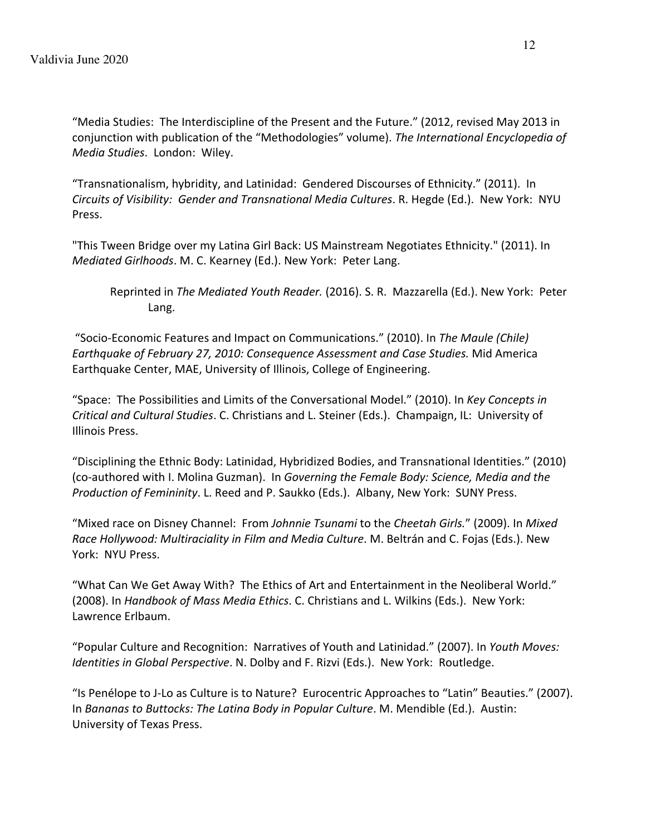"Media Studies: The Interdiscipline of the Present and the Future." (2012, revised May 2013 in conjunction with publication of the "Methodologies" volume). *The International Encyclopedia of Media Studies*. London: Wiley.

"Transnationalism, hybridity, and Latinidad: Gendered Discourses of Ethnicity." (2011). In *Circuits of Visibility: Gender and Transnational Media Cultures*. R. Hegde (Ed.). New York: NYU Press.

"This Tween Bridge over my Latina Girl Back: US Mainstream Negotiates Ethnicity." (2011). In *Mediated Girlhoods*. M. C. Kearney (Ed.). New York: Peter Lang.

Reprinted in *The Mediated Youth Reader.* (2016). S. R. Mazzarella (Ed.). New York: Peter Lang.

"Socio-Economic Features and Impact on Communications." (2010). In *The Maule (Chile) Earthquake of February 27, 2010: Consequence Assessment and Case Studies.* Mid America Earthquake Center, MAE, University of Illinois, College of Engineering.

"Space: The Possibilities and Limits of the Conversational Model." (2010). In *Key Concepts in Critical and Cultural Studies*. C. Christians and L. Steiner (Eds.). Champaign, IL: University of Illinois Press.

"Disciplining the Ethnic Body: Latinidad, Hybridized Bodies, and Transnational Identities." (2010) (co-authored with I. Molina Guzman). In *Governing the Female Body: Science, Media and the Production of Femininity*. L. Reed and P. Saukko (Eds.). Albany, New York: SUNY Press.

"Mixed race on Disney Channel: From *Johnnie Tsunami* to the *Cheetah Girls.*" (2009). In *Mixed Race Hollywood: Multiraciality in Film and Media Culture*. M. Beltrán and C. Fojas (Eds.). New York: NYU Press.

"What Can We Get Away With? The Ethics of Art and Entertainment in the Neoliberal World." (2008). In *Handbook of Mass Media Ethics*. C. Christians and L. Wilkins (Eds.). New York: Lawrence Erlbaum.

"Popular Culture and Recognition: Narratives of Youth and Latinidad." (2007). In *Youth Moves: Identities in Global Perspective*. N. Dolby and F. Rizvi (Eds.). New York: Routledge.

"Is Penélope to J-Lo as Culture is to Nature? Eurocentric Approaches to "Latin" Beauties." (2007). In *Bananas to Buttocks: The Latina Body in Popular Culture*. M. Mendible (Ed.). Austin: University of Texas Press.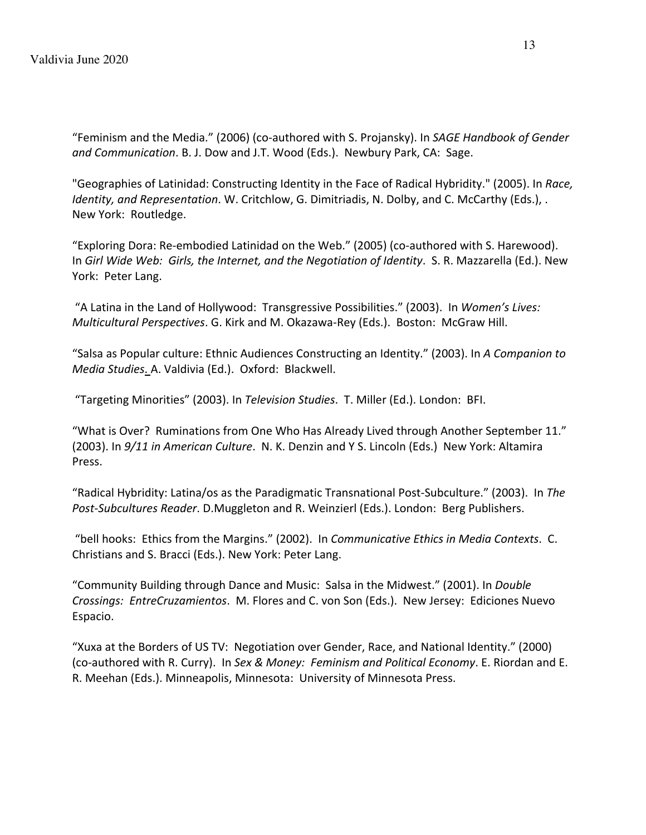"Feminism and the Media." (2006) (co-authored with S. Projansky). In *SAGE Handbook of Gender and Communication*. B. J. Dow and J.T. Wood (Eds.). Newbury Park, CA: Sage.

"Geographies of Latinidad: Constructing Identity in the Face of Radical Hybridity." (2005). In *Race, Identity, and Representation*. W. Critchlow, G. Dimitriadis, N. Dolby, and C. McCarthy (Eds.), . New York: Routledge.

"Exploring Dora: Re-embodied Latinidad on the Web." (2005) (co-authored with S. Harewood). In *Girl Wide Web: Girls, the Internet, and the Negotiation of Identity*. S. R. Mazzarella (Ed.). New York: Peter Lang.

"A Latina in the Land of Hollywood: Transgressive Possibilities." (2003). In *Women's Lives: Multicultural Perspectives*. G. Kirk and M. Okazawa-Rey (Eds.). Boston: McGraw Hill.

"Salsa as Popular culture: Ethnic Audiences Constructing an Identity." (2003). In *A Companion to Media Studies*. A. Valdivia (Ed.). Oxford: Blackwell.

"Targeting Minorities" (2003). In *Television Studies*. T. Miller (Ed.). London: BFI.

"What is Over? Ruminations from One Who Has Already Lived through Another September 11." (2003). In *9/11 in American Culture*. N. K. Denzin and Y S. Lincoln (Eds.) New York: Altamira Press.

"Radical Hybridity: Latina/os as the Paradigmatic Transnational Post-Subculture." (2003). In *The Post-Subcultures Reader*. D.Muggleton and R. Weinzierl (Eds.). London: Berg Publishers.

"bell hooks: Ethics from the Margins." (2002). In *Communicative Ethics in Media Contexts*. C. Christians and S. Bracci (Eds.). New York: Peter Lang.

"Community Building through Dance and Music: Salsa in the Midwest." (2001). In *Double Crossings: EntreCruzamientos*. M. Flores and C. von Son (Eds.). New Jersey: Ediciones Nuevo Espacio.

"Xuxa at the Borders of US TV: Negotiation over Gender, Race, and National Identity." (2000) (co-authored with R. Curry). In *Sex & Money: Feminism and Political Economy*. E. Riordan and E. R. Meehan (Eds.). Minneapolis, Minnesota: University of Minnesota Press.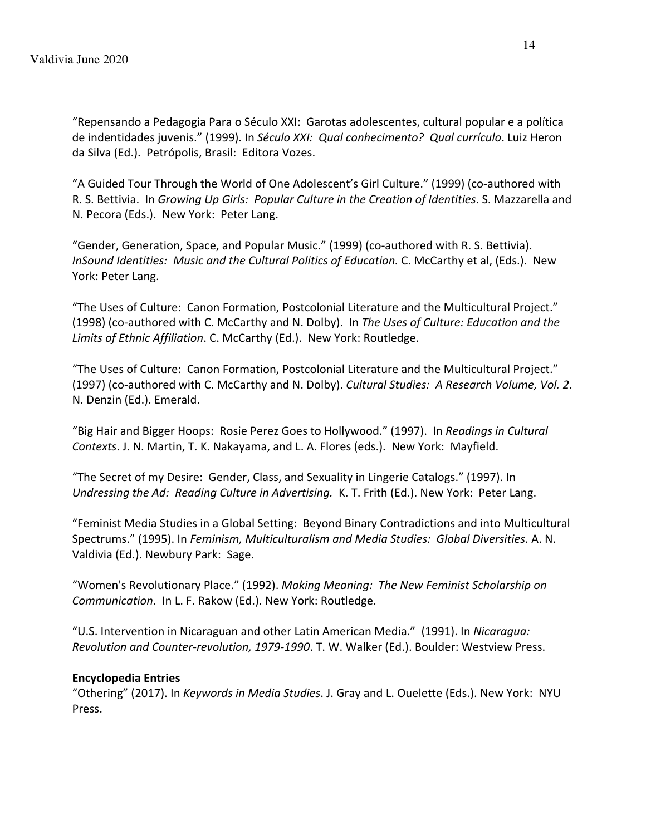"Repensando a Pedagogia Para o Século XXI: Garotas adolescentes, cultural popular e a política de indentidades juvenis." (1999). In *Século XXI: Qual conhecimento? Qual currículo*. Luiz Heron da Silva (Ed.). Petrópolis, Brasil: Editora Vozes.

"A Guided Tour Through the World of One Adolescent's Girl Culture." (1999) (co-authored with R. S. Bettivia. In *Growing Up Girls: Popular Culture in the Creation of Identities*. S. Mazzarella and N. Pecora (Eds.). New York: Peter Lang.

"Gender, Generation, Space, and Popular Music." (1999) (co-authored with R. S. Bettivia). *InSound Identities: Music and the Cultural Politics of Education.* C. McCarthy et al, (Eds.). New York: Peter Lang.

"The Uses of Culture: Canon Formation, Postcolonial Literature and the Multicultural Project." (1998) (co-authored with C. McCarthy and N. Dolby). In *The Uses of Culture: Education and the Limits of Ethnic Affiliation*. C. McCarthy (Ed.). New York: Routledge.

"The Uses of Culture: Canon Formation, Postcolonial Literature and the Multicultural Project." (1997) (co-authored with C. McCarthy and N. Dolby). *Cultural Studies: A Research Volume, Vol. 2*. N. Denzin (Ed.). Emerald.

"Big Hair and Bigger Hoops: Rosie Perez Goes to Hollywood." (1997). In *Readings in Cultural Contexts*. J. N. Martin, T. K. Nakayama, and L. A. Flores (eds.). New York: Mayfield.

"The Secret of my Desire: Gender, Class, and Sexuality in Lingerie Catalogs." (1997). In *Undressing the Ad: Reading Culture in Advertising.* K. T. Frith (Ed.). New York: Peter Lang.

"Feminist Media Studies in a Global Setting: Beyond Binary Contradictions and into Multicultural Spectrums." (1995). In *Feminism, Multiculturalism and Media Studies: Global Diversities*. A. N. Valdivia (Ed.). Newbury Park: Sage.

"Women's Revolutionary Place." (1992). *Making Meaning: The New Feminist Scholarship on Communication*. In L. F. Rakow (Ed.). New York: Routledge.

"U.S. Intervention in Nicaraguan and other Latin American Media." (1991). In *Nicaragua: Revolution and Counter-revolution, 1979-1990*. T. W. Walker (Ed.). Boulder: Westview Press.

## **Encyclopedia Entries**

"Othering" (2017). In *Keywords in Media Studies*. J. Gray and L. Ouelette (Eds.). New York: NYU Press.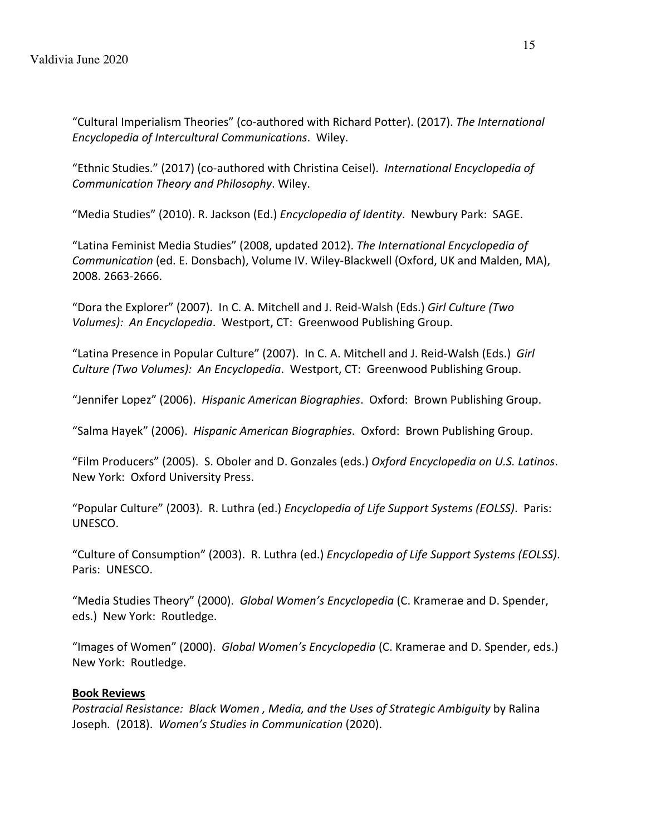"Cultural Imperialism Theories" (co-authored with Richard Potter). (2017). *The International Encyclopedia of Intercultural Communications*. Wiley.

"Ethnic Studies." (2017) (co-authored with Christina Ceisel). *International Encyclopedia of Communication Theory and Philosophy*. Wiley.

"Media Studies" (2010). R. Jackson (Ed.) *Encyclopedia of Identity*. Newbury Park: SAGE.

"Latina Feminist Media Studies" (2008, updated 2012). *The International Encyclopedia of Communication* (ed. E. Donsbach), Volume IV. Wiley-Blackwell (Oxford, UK and Malden, MA), 2008. 2663-2666.

"Dora the Explorer" (2007). In C. A. Mitchell and J. Reid-Walsh (Eds.) *Girl Culture (Two Volumes): An Encyclopedia*. Westport, CT: Greenwood Publishing Group.

"Latina Presence in Popular Culture" (2007). In C. A. Mitchell and J. Reid-Walsh (Eds.) *Girl Culture (Two Volumes): An Encyclopedia*. Westport, CT: Greenwood Publishing Group.

"Jennifer Lopez" (2006). *Hispanic American Biographies*. Oxford: Brown Publishing Group.

"Salma Hayek" (2006). *Hispanic American Biographies*. Oxford: Brown Publishing Group.

"Film Producers" (2005). S. Oboler and D. Gonzales (eds.) *Oxford Encyclopedia on U.S. Latinos*. New York: Oxford University Press.

"Popular Culture" (2003). R. Luthra (ed.) *Encyclopedia of Life Support Systems (EOLSS)*. Paris: UNESCO.

"Culture of Consumption" (2003). R. Luthra (ed.) *Encyclopedia of Life Support Systems (EOLSS)*. Paris: UNESCO.

"Media Studies Theory" (2000). *Global Women's Encyclopedia* (C. Kramerae and D. Spender, eds.) New York: Routledge.

"Images of Women" (2000). *Global Women's Encyclopedia* (C. Kramerae and D. Spender, eds.) New York: Routledge.

## **Book Reviews**

*Postracial Resistance: Black Women , Media, and the Uses of Strategic Ambiguity* by Ralina Joseph*.* (2018). *Women's Studies in Communication* (2020).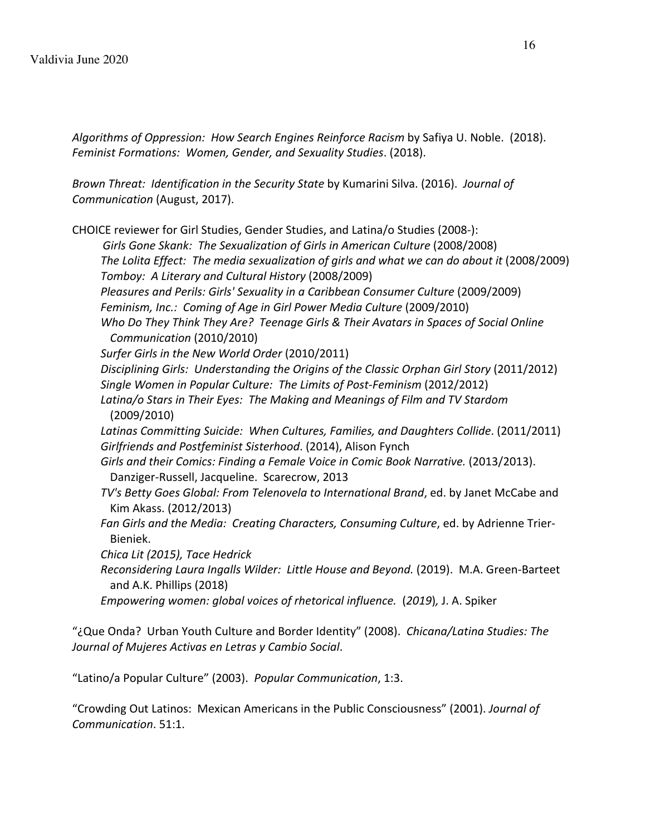*Algorithms of Oppression: How Search Engines Reinforce Racism* by Safiya U. Noble. (2018). *Feminist Formations: Women, Gender, and Sexuality Studies*. (2018).

*Brown Threat: Identification in the Security State* by Kumarini Silva. (2016). *Journal of Communication* (August, 2017).

CHOICE reviewer for Girl Studies, Gender Studies, and Latina/o Studies (2008-):

*Girls Gone Skank: The Sexualization of Girls in American Culture* (2008/2008) *The Lolita Effect: The media sexualization of girls and what we can do about it* (2008/2009) *Tomboy: A Literary and Cultural History* (2008/2009)

*Pleasures and Perils: Girls' Sexuality in a Caribbean Consumer Culture* (2009/2009)

Feminism, Inc.: Coming of Age in Girl Power Media Culture (2009/2010)

*Who Do They Think They Are? Teenage Girls & Their Avatars in Spaces of Social Online Communication* (2010/2010)

*Surfer Girls in the New World Order* (2010/2011)

*Disciplining Girls: Understanding the Origins of the Classic Orphan Girl Story* (2011/2012) *Single Women in Popular Culture: The Limits of Post-Feminism* (2012/2012)

*Latina/o Stars in Their Eyes: The Making and Meanings of Film and TV Stardom* (2009/2010)

*Latinas Committing Suicide: When Cultures, Families, and Daughters Collide*. (2011/2011) *Girlfriends and Postfeminist Sisterhood*. (2014), Alison Fynch

*Girls and their Comics: Finding a Female Voice in Comic Book Narrative.* (2013/2013). Danziger-Russell, Jacqueline. Scarecrow, 2013

*TV's Betty Goes Global: From Telenovela to International Brand*, ed. by Janet McCabe and Kim Akass. (2012/2013)

*Fan Girls and the Media: Creating Characters, Consuming Culture*, ed. by Adrienne Trier-Bieniek.

*Chica Lit (2015), Tace Hedrick*

*Reconsidering Laura Ingalls Wilder: Little House and Beyond.* (2019). M.A. Green-Barteet and A.K. Phillips (2018)

*Empowering women: global voices of rhetorical influence.* (*2019*)*,* J. A. Spiker

"¿Que Onda? Urban Youth Culture and Border Identity" (2008). *Chicana/Latina Studies: The Journal of Mujeres Activas en Letras y Cambio Social*.

"Latino/a Popular Culture" (2003). *Popular Communication*, 1:3.

"Crowding Out Latinos: Mexican Americans in the Public Consciousness" (2001). *Journal of Communication*. 51:1.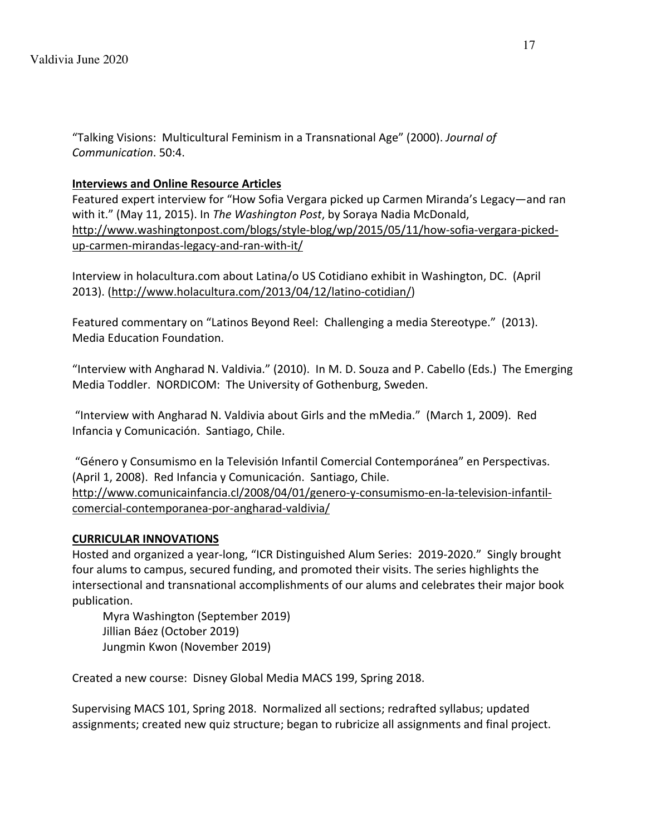"Talking Visions: Multicultural Feminism in a Transnational Age" (2000). *Journal of Communication*. 50:4.

### **Interviews and Online Resource Articles**

Featured expert interview for "How Sofia Vergara picked up Carmen Miranda's Legacy—and ran with it." (May 11, 2015). In *The Washington Post*, by Soraya Nadia McDonald, http://www.washingtonpost.com/blogs/style-blog/wp/2015/05/11/how-sofia-vergara-pickedup-carmen-mirandas-legacy-and-ran-with-it/

Interview in holacultura.com about Latina/o US Cotidiano exhibit in Washington, DC. (April 2013). (http://www.holacultura.com/2013/04/12/latino-cotidian/)

Featured commentary on "Latinos Beyond Reel: Challenging a media Stereotype." (2013). Media Education Foundation.

"Interview with Angharad N. Valdivia." (2010). In M. D. Souza and P. Cabello (Eds.) The Emerging Media Toddler. NORDICOM: The University of Gothenburg, Sweden.

"Interview with Angharad N. Valdivia about Girls and the mMedia." (March 1, 2009). Red Infancia y Comunicación. Santiago, Chile.

"Género y Consumismo en la Televisión Infantil Comercial Contemporánea" en Perspectivas. (April 1, 2008). Red Infancia y Comunicación. Santiago, Chile. http://www.comunicainfancia.cl/2008/04/01/genero-y-consumismo-en-la-television-infantilcomercial-contemporanea-por-angharad-valdivia/

### **CURRICULAR INNOVATIONS**

Hosted and organized a year-long, "ICR Distinguished Alum Series: 2019-2020." Singly brought four alums to campus, secured funding, and promoted their visits. The series highlights the intersectional and transnational accomplishments of our alums and celebrates their major book publication.

Myra Washington (September 2019) Jillian Báez (October 2019) Jungmin Kwon (November 2019)

Created a new course: Disney Global Media MACS 199, Spring 2018.

Supervising MACS 101, Spring 2018. Normalized all sections; redrafted syllabus; updated assignments; created new quiz structure; began to rubricize all assignments and final project.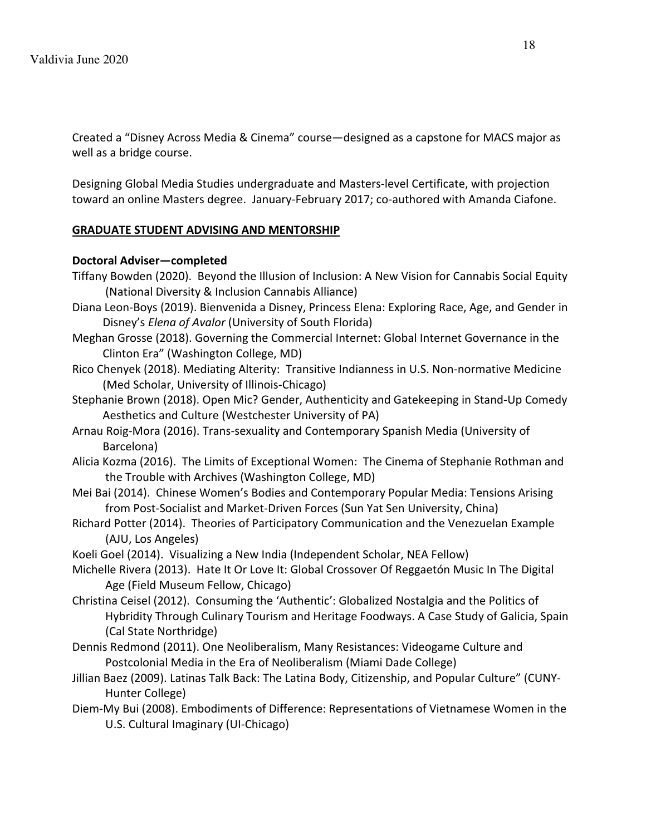Created a "Disney Across Media & Cinema" course—designed as a capstone for MACS major as well as a bridge course.

Designing Global Media Studies undergraduate and Masters-level Certificate, with projection toward an online Masters degree. January-February 2017; co-authored with Amanda Ciafone.

## **GRADUATE STUDENT ADVISING AND MENTORSHIP**

## **Doctoral Adviser—completed**

- Tiffany Bowden (2020). Beyond the Illusion of Inclusion: A New Vision for Cannabis Social Equity (National Diversity & Inclusion Cannabis Alliance)
- Diana Leon-Boys (2019). Bienvenida a Disney, Princess Elena: Exploring Race, Age, and Gender in Disney's *Elena of Avalor* (University of South Florida)
- Meghan Grosse (2018). Governing the Commercial Internet: Global Internet Governance in the Clinton Era" (Washington College, MD)
- Rico Chenyek (2018). Mediating Alterity: Transitive Indianness in U.S. Non-normative Medicine (Med Scholar, University of Illinois-Chicago)
- Stephanie Brown (2018). Open Mic? Gender, Authenticity and Gatekeeping in Stand-Up Comedy Aesthetics and Culture (Westchester University of PA)
- Arnau Roig-Mora (2016). Trans-sexuality and Contemporary Spanish Media (University of Barcelona)
- Alicia Kozma (2016). The Limits of Exceptional Women: The Cinema of Stephanie Rothman and the Trouble with Archives (Washington College, MD)
- Mei Bai (2014). Chinese Women's Bodies and Contemporary Popular Media: Tensions Arising from Post-Socialist and Market-Driven Forces (Sun Yat Sen University, China)
- Richard Potter (2014). Theories of Participatory Communication and the Venezuelan Example (AJU, Los Angeles)
- Koeli Goel (2014). Visualizing a New India (Independent Scholar, NEA Fellow)
- Michelle Rivera (2013). Hate It Or Love It: Global Crossover Of Reggaetón Music In The Digital Age (Field Museum Fellow, Chicago)
- Christina Ceisel (2012). Consuming the 'Authentic': Globalized Nostalgia and the Politics of Hybridity Through Culinary Tourism and Heritage Foodways. A Case Study of Galicia, Spain (Cal State Northridge)
- Dennis Redmond (2011). One Neoliberalism, Many Resistances: Videogame Culture and Postcolonial Media in the Era of Neoliberalism (Miami Dade College)
- Jillian Baez (2009). Latinas Talk Back: The Latina Body, Citizenship, and Popular Culture" (CUNY-Hunter College)
- Diem-My Bui (2008). Embodiments of Difference: Representations of Vietnamese Women in the U.S. Cultural Imaginary (UI-Chicago)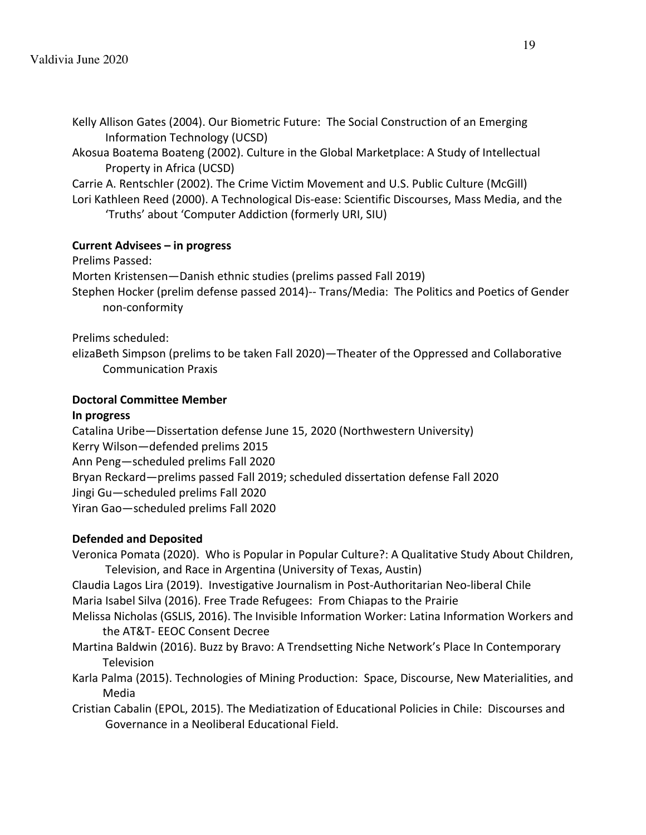- Kelly Allison Gates (2004). Our Biometric Future: The Social Construction of an Emerging Information Technology (UCSD)
- Akosua Boatema Boateng (2002). Culture in the Global Marketplace: A Study of Intellectual Property in Africa (UCSD)

Carrie A. Rentschler (2002). The Crime Victim Movement and U.S. Public Culture (McGill) Lori Kathleen Reed (2000). A Technological Dis-ease: Scientific Discourses, Mass Media, and the 'Truths' about 'Computer Addiction (formerly URI, SIU)

## **Current Advisees – in progress**

Prelims Passed: Morten Kristensen—Danish ethnic studies (prelims passed Fall 2019) Stephen Hocker (prelim defense passed 2014)-- Trans/Media: The Politics and Poetics of Gender non-conformity

Prelims scheduled:

elizaBeth Simpson (prelims to be taken Fall 2020)—Theater of the Oppressed and Collaborative Communication Praxis

## **Doctoral Committee Member**

### **In progress**

Catalina Uribe—Dissertation defense June 15, 2020 (Northwestern University) Kerry Wilson—defended prelims 2015 Ann Peng—scheduled prelims Fall 2020 Bryan Reckard—prelims passed Fall 2019; scheduled dissertation defense Fall 2020 Jingi Gu—scheduled prelims Fall 2020 Yiran Gao—scheduled prelims Fall 2020

## **Defended and Deposited**

Veronica Pomata (2020). Who is Popular in Popular Culture?: A Qualitative Study About Children, Television, and Race in Argentina (University of Texas, Austin)

Claudia Lagos Lira (2019). Investigative Journalism in Post-Authoritarian Neo-liberal Chile Maria Isabel Silva (2016). Free Trade Refugees: From Chiapas to the Prairie

- Melissa Nicholas (GSLIS, 2016). The Invisible Information Worker: Latina Information Workers and the AT&T- EEOC Consent Decree
- Martina Baldwin (2016). Buzz by Bravo: A Trendsetting Niche Network's Place In Contemporary **Television**
- Karla Palma (2015). Technologies of Mining Production: Space, Discourse, New Materialities, and Media
- Cristian Cabalin (EPOL, 2015). The Mediatization of Educational Policies in Chile: Discourses and Governance in a Neoliberal Educational Field.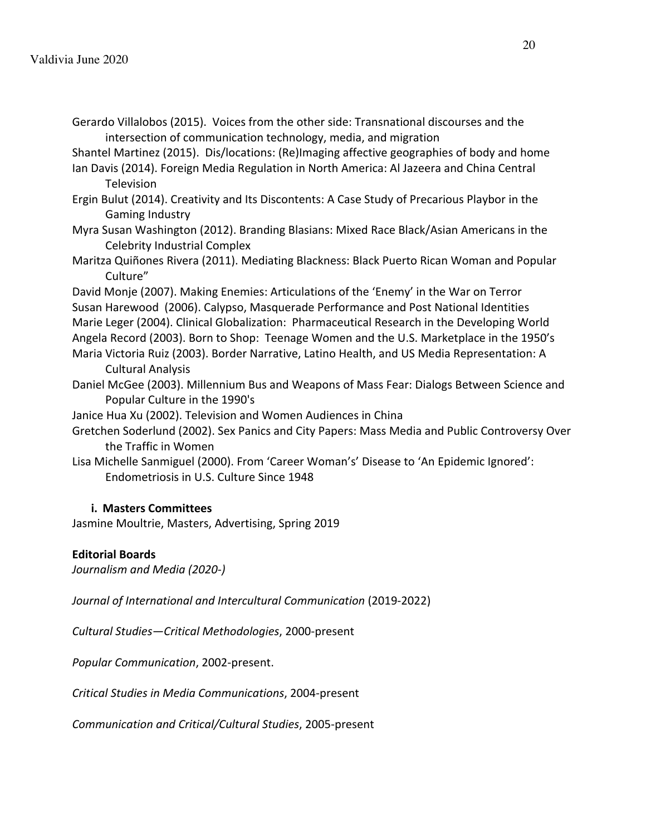Gerardo Villalobos (2015). Voices from the other side: Transnational discourses and the intersection of communication technology, media, and migration

Shantel Martinez (2015). Dis/locations: (Re)Imaging affective geographies of body and home

- Ian Davis (2014). Foreign Media Regulation in North America: Al Jazeera and China Central **Television**
- Ergin Bulut (2014). Creativity and Its Discontents: A Case Study of Precarious Playbor in the Gaming Industry
- Myra Susan Washington (2012). Branding Blasians: Mixed Race Black/Asian Americans in the Celebrity Industrial Complex
- Maritza Quiñones Rivera (2011). Mediating Blackness: Black Puerto Rican Woman and Popular Culture"
- David Monje (2007). Making Enemies: Articulations of the 'Enemy' in the War on Terror Susan Harewood (2006). Calypso, Masquerade Performance and Post National Identities Marie Leger (2004). Clinical Globalization: Pharmaceutical Research in the Developing World Angela Record (2003). Born to Shop: Teenage Women and the U.S. Marketplace in the 1950's Maria Victoria Ruiz (2003). Border Narrative, Latino Health, and US Media Representation: A Cultural Analysis
- Daniel McGee (2003). Millennium Bus and Weapons of Mass Fear: Dialogs Between Science and Popular Culture in the 1990's
- Janice Hua Xu (2002). Television and Women Audiences in China
- Gretchen Soderlund (2002). Sex Panics and City Papers: Mass Media and Public Controversy Over the Traffic in Women
- Lisa Michelle Sanmiguel (2000). From 'Career Woman's' Disease to 'An Epidemic Ignored': Endometriosis in U.S. Culture Since 1948

## **i. Masters Committees**

Jasmine Moultrie, Masters, Advertising, Spring 2019

## **Editorial Boards**

*Journalism and Media (2020-)*

*Journal of International and Intercultural Communication* (2019-2022)

*Cultural Studies—Critical Methodologies*, 2000-present

*Popular Communication*, 2002-present.

*Critical Studies in Media Communications*, 2004-present

*Communication and Critical/Cultural Studies*, 2005-present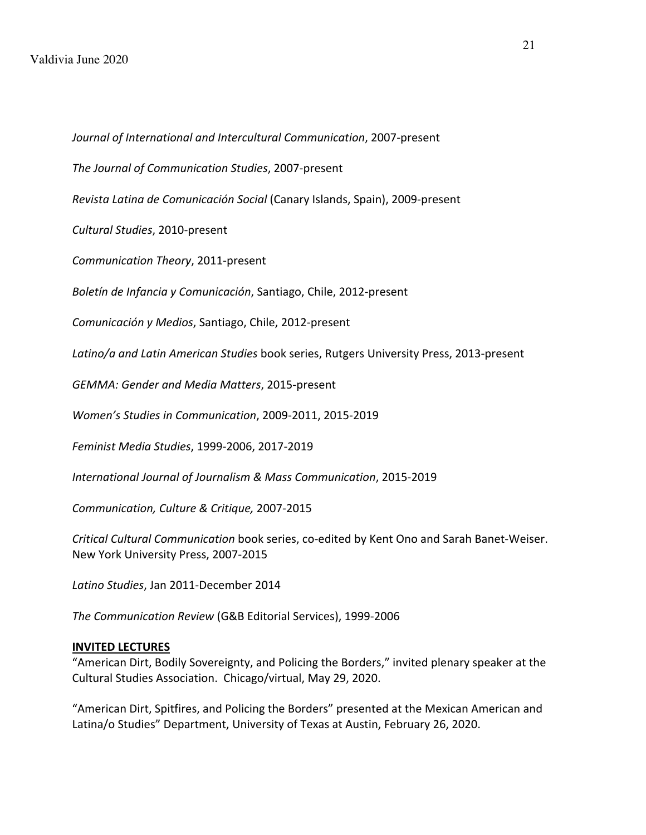*Journal of International and Intercultural Communication*, 2007-present *The Journal of Communication Studies*, 2007-present *Revista Latina de Comunicación Social* (Canary Islands, Spain), 2009-present *Cultural Studies*, 2010-present *Communication Theory*, 2011-present *Boletín de Infancia y Comunicación*, Santiago, Chile, 2012-present *Comunicación y Medios*, Santiago, Chile, 2012-present *Latino/a and Latin American Studies* book series, Rutgers University Press, 2013-present *GEMMA: Gender and Media Matters*, 2015-present *Women's Studies in Communication*, 2009-2011, 2015-2019 *Feminist Media Studies*, 1999-2006, 2017-2019 *International Journal of Journalism & Mass Communication*, 2015-2019 *Communication, Culture & Critique,* 2007-2015 *Critical Cultural Communication* book series, co-edited by Kent Ono and Sarah Banet-Weiser. New York University Press, 2007-2015

*Latino Studies*, Jan 2011-December 2014

*The Communication Review* (G&B Editorial Services), 1999-2006

### **INVITED LECTURES**

"American Dirt, Bodily Sovereignty, and Policing the Borders," invited plenary speaker at the Cultural Studies Association. Chicago/virtual, May 29, 2020.

"American Dirt, Spitfires, and Policing the Borders" presented at the Mexican American and Latina/o Studies" Department, University of Texas at Austin, February 26, 2020.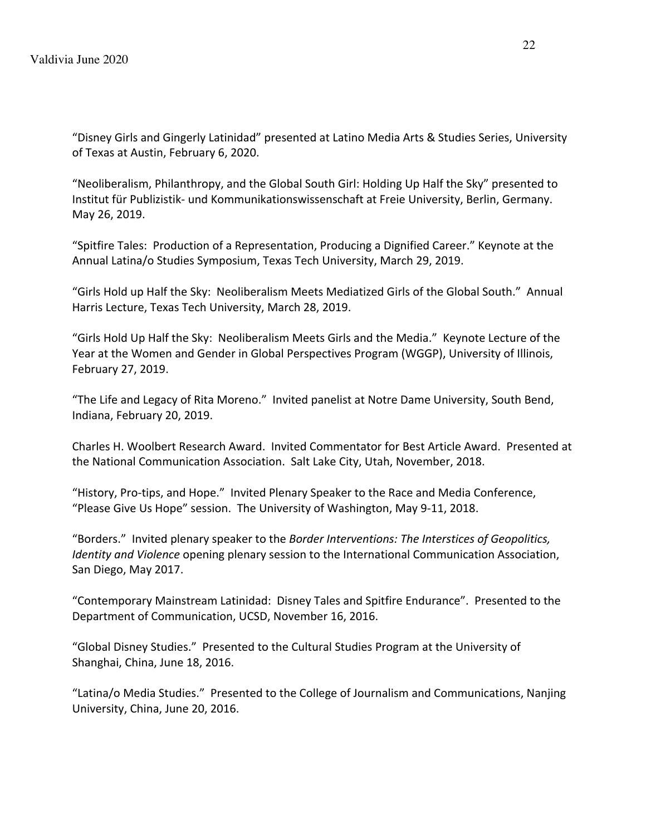"Disney Girls and Gingerly Latinidad" presented at Latino Media Arts & Studies Series, University of Texas at Austin, February 6, 2020.

"Neoliberalism, Philanthropy, and the Global South Girl: Holding Up Half the Sky" presented to Institut für Publizistik- und Kommunikationswissenschaft at Freie University, Berlin, Germany. May 26, 2019.

"Spitfire Tales: Production of a Representation, Producing a Dignified Career." Keynote at the Annual Latina/o Studies Symposium, Texas Tech University, March 29, 2019.

"Girls Hold up Half the Sky: Neoliberalism Meets Mediatized Girls of the Global South." Annual Harris Lecture, Texas Tech University, March 28, 2019.

"Girls Hold Up Half the Sky: Neoliberalism Meets Girls and the Media." Keynote Lecture of the Year at the Women and Gender in Global Perspectives Program (WGGP), University of Illinois, February 27, 2019.

"The Life and Legacy of Rita Moreno." Invited panelist at Notre Dame University, South Bend, Indiana, February 20, 2019.

Charles H. Woolbert Research Award. Invited Commentator for Best Article Award. Presented at the National Communication Association. Salt Lake City, Utah, November, 2018.

"History, Pro-tips, and Hope." Invited Plenary Speaker to the Race and Media Conference, "Please Give Us Hope" session. The University of Washington, May 9-11, 2018.

"Borders." Invited plenary speaker to the *Border Interventions: The Interstices of Geopolitics, Identity and Violence* opening plenary session to the International Communication Association, San Diego, May 2017.

"Contemporary Mainstream Latinidad: Disney Tales and Spitfire Endurance". Presented to the Department of Communication, UCSD, November 16, 2016.

"Global Disney Studies." Presented to the Cultural Studies Program at the University of Shanghai, China, June 18, 2016.

"Latina/o Media Studies." Presented to the College of Journalism and Communications, Nanjing University, China, June 20, 2016.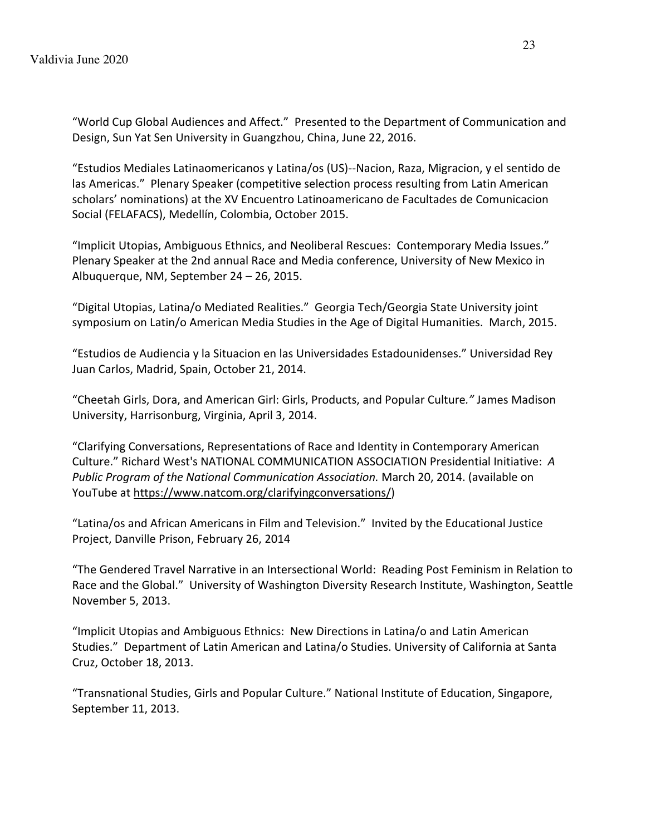"World Cup Global Audiences and Affect." Presented to the Department of Communication and Design, Sun Yat Sen University in Guangzhou, China, June 22, 2016.

"Estudios Mediales Latinaomericanos y Latina/os (US)--Nacion, Raza, Migracion, y el sentido de las Americas." Plenary Speaker (competitive selection process resulting from Latin American scholars' nominations) at the XV Encuentro Latinoamericano de Facultades de Comunicacion Social (FELAFACS), Medellín, Colombia, October 2015.

"Implicit Utopias, Ambiguous Ethnics, and Neoliberal Rescues: Contemporary Media Issues." Plenary Speaker at the 2nd annual Race and Media conference, University of New Mexico in Albuquerque, NM, September 24 – 26, 2015.

"Digital Utopias, Latina/o Mediated Realities." Georgia Tech/Georgia State University joint symposium on Latin/o American Media Studies in the Age of Digital Humanities. March, 2015.

"Estudios de Audiencia y la Situacion en las Universidades Estadounidenses." Universidad Rey Juan Carlos, Madrid, Spain, October 21, 2014.

"Cheetah Girls, Dora, and American Girl: Girls, Products, and Popular Culture*."* James Madison University, Harrisonburg, Virginia, April 3, 2014.

"Clarifying Conversations, Representations of Race and Identity in Contemporary American Culture." Richard West's NATIONAL COMMUNICATION ASSOCIATION Presidential Initiative: *A Public Program of the National Communication Association.* March 20, 2014. (available on YouTube at https://www.natcom.org/clarifyingconversations/)

"Latina/os and African Americans in Film and Television." Invited by the Educational Justice Project, Danville Prison, February 26, 2014

"The Gendered Travel Narrative in an Intersectional World: Reading Post Feminism in Relation to Race and the Global." University of Washington Diversity Research Institute, Washington, Seattle November 5, 2013.

"Implicit Utopias and Ambiguous Ethnics: New Directions in Latina/o and Latin American Studies." Department of Latin American and Latina/o Studies. University of California at Santa Cruz, October 18, 2013.

"Transnational Studies, Girls and Popular Culture." National Institute of Education, Singapore, September 11, 2013.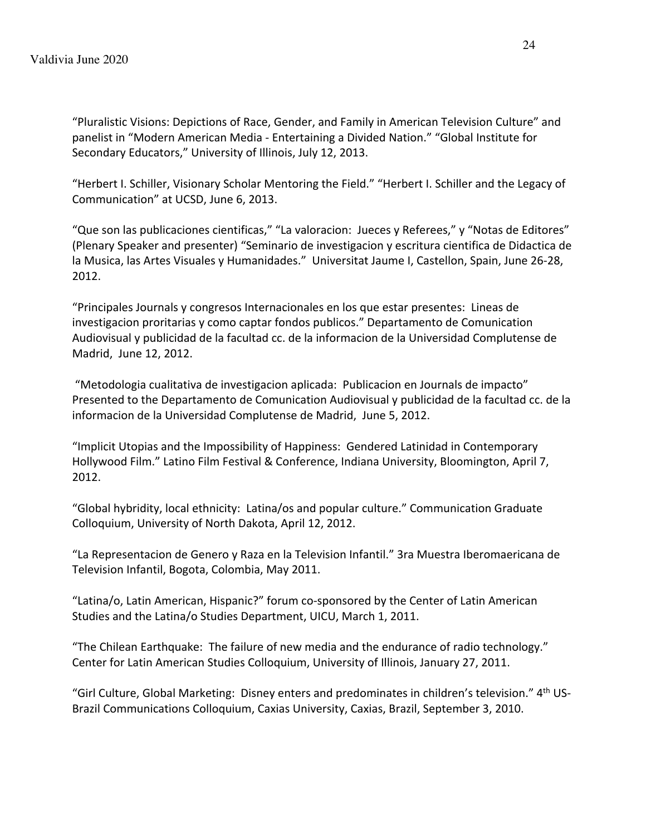"Pluralistic Visions: Depictions of Race, Gender, and Family in American Television Culture" and panelist in "Modern American Media - Entertaining a Divided Nation." "Global Institute for Secondary Educators," University of Illinois, July 12, 2013.

"Herbert I. Schiller, Visionary Scholar Mentoring the Field." "Herbert I. Schiller and the Legacy of Communication" at UCSD, June 6, 2013.

"Que son las publicaciones cientificas," "La valoracion: Jueces y Referees," y "Notas de Editores" (Plenary Speaker and presenter) "Seminario de investigacion y escritura cientifica de Didactica de la Musica, las Artes Visuales y Humanidades." Universitat Jaume I, Castellon, Spain, June 26-28, 2012.

"Principales Journals y congresos Internacionales en los que estar presentes: Lineas de investigacion proritarias y como captar fondos publicos." Departamento de Comunication Audiovisual y publicidad de la facultad cc. de la informacion de la Universidad Complutense de Madrid, June 12, 2012.

"Metodologia cualitativa de investigacion aplicada: Publicacion en Journals de impacto" Presented to the Departamento de Comunication Audiovisual y publicidad de la facultad cc. de la informacion de la Universidad Complutense de Madrid, June 5, 2012.

"Implicit Utopias and the Impossibility of Happiness: Gendered Latinidad in Contemporary Hollywood Film." Latino Film Festival & Conference, Indiana University, Bloomington, April 7, 2012.

"Global hybridity, local ethnicity: Latina/os and popular culture." Communication Graduate Colloquium, University of North Dakota, April 12, 2012.

"La Representacion de Genero y Raza en la Television Infantil." 3ra Muestra Iberomaericana de Television Infantil, Bogota, Colombia, May 2011.

"Latina/o, Latin American, Hispanic?" forum co-sponsored by the Center of Latin American Studies and the Latina/o Studies Department, UICU, March 1, 2011.

"The Chilean Earthquake: The failure of new media and the endurance of radio technology." Center for Latin American Studies Colloquium, University of Illinois, January 27, 2011.

"Girl Culture, Global Marketing: Disney enters and predominates in children's television."  $4<sup>th</sup>$  US-Brazil Communications Colloquium, Caxias University, Caxias, Brazil, September 3, 2010.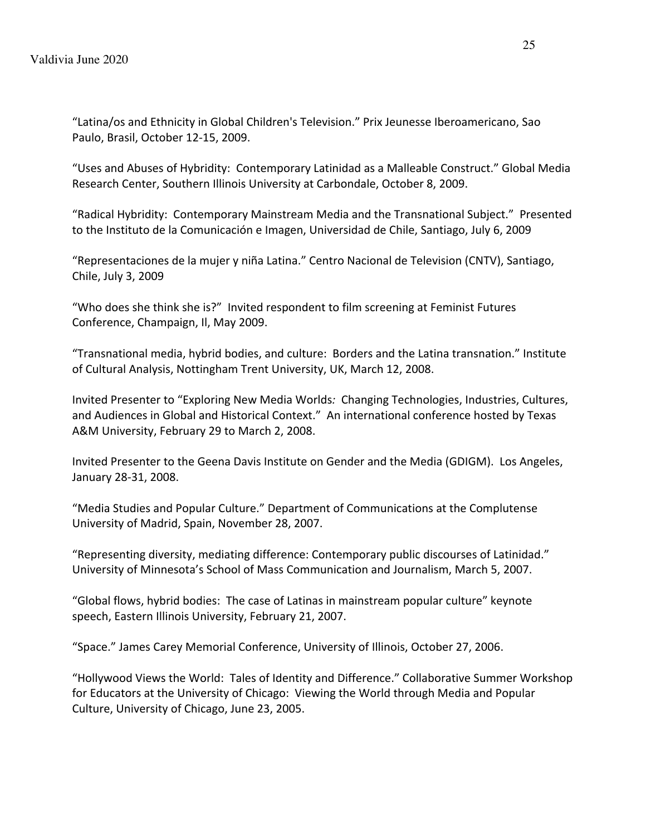"Latina/os and Ethnicity in Global Children's Television." Prix Jeunesse Iberoamericano, Sao Paulo, Brasil, October 12-15, 2009.

"Uses and Abuses of Hybridity: Contemporary Latinidad as a Malleable Construct." Global Media Research Center, Southern Illinois University at Carbondale, October 8, 2009.

"Radical Hybridity: Contemporary Mainstream Media and the Transnational Subject." Presented to the Instituto de la Comunicación e Imagen, Universidad de Chile, Santiago, July 6, 2009

"Representaciones de la mujer y niña Latina." Centro Nacional de Television (CNTV), Santiago, Chile, July 3, 2009

"Who does she think she is?" Invited respondent to film screening at Feminist Futures Conference, Champaign, Il, May 2009.

"Transnational media, hybrid bodies, and culture: Borders and the Latina transnation." Institute of Cultural Analysis, Nottingham Trent University, UK, March 12, 2008.

Invited Presenter to "Exploring New Media Worlds*:* Changing Technologies, Industries, Cultures, and Audiences in Global and Historical Context." An international conference hosted by Texas A&M University, February 29 to March 2, 2008.

Invited Presenter to the Geena Davis Institute on Gender and the Media (GDIGM). Los Angeles, January 28-31, 2008.

"Media Studies and Popular Culture." Department of Communications at the Complutense University of Madrid, Spain, November 28, 2007.

"Representing diversity, mediating difference: Contemporary public discourses of Latinidad." University of Minnesota's School of Mass Communication and Journalism, March 5, 2007.

"Global flows, hybrid bodies: The case of Latinas in mainstream popular culture" keynote speech, Eastern Illinois University, February 21, 2007.

"Space." James Carey Memorial Conference, University of Illinois, October 27, 2006.

"Hollywood Views the World: Tales of Identity and Difference." Collaborative Summer Workshop for Educators at the University of Chicago: Viewing the World through Media and Popular Culture, University of Chicago, June 23, 2005.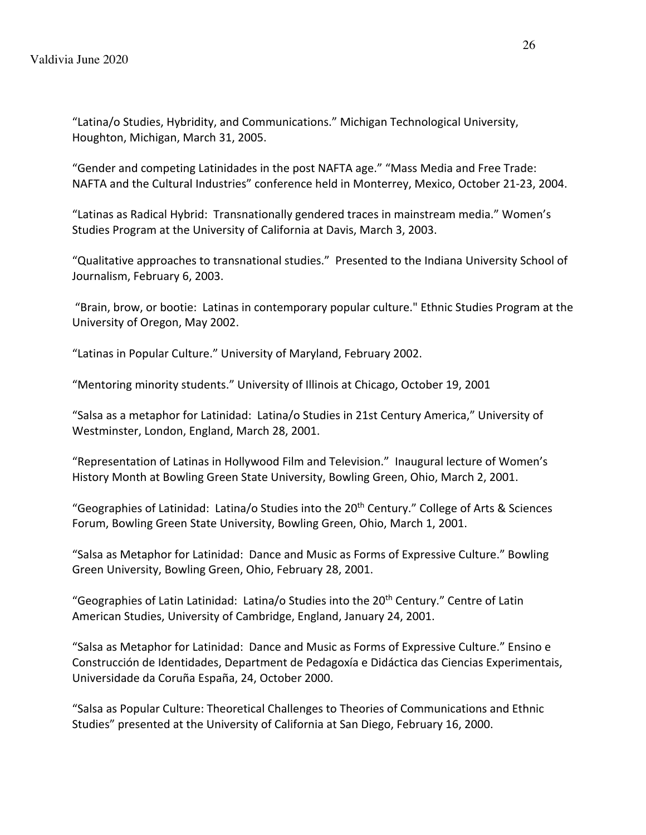"Latina/o Studies, Hybridity, and Communications." Michigan Technological University, Houghton, Michigan, March 31, 2005.

"Gender and competing Latinidades in the post NAFTA age." "Mass Media and Free Trade: NAFTA and the Cultural Industries" conference held in Monterrey, Mexico, October 21-23, 2004.

"Latinas as Radical Hybrid: Transnationally gendered traces in mainstream media." Women's Studies Program at the University of California at Davis, March 3, 2003.

"Qualitative approaches to transnational studies." Presented to the Indiana University School of Journalism, February 6, 2003.

"Brain, brow, or bootie: Latinas in contemporary popular culture." Ethnic Studies Program at the University of Oregon, May 2002.

"Latinas in Popular Culture." University of Maryland, February 2002.

"Mentoring minority students." University of Illinois at Chicago, October 19, 2001

"Salsa as a metaphor for Latinidad: Latina/o Studies in 21st Century America," University of Westminster, London, England, March 28, 2001.

"Representation of Latinas in Hollywood Film and Television." Inaugural lecture of Women's History Month at Bowling Green State University, Bowling Green, Ohio, March 2, 2001.

"Geographies of Latinidad: Latina/o Studies into the 20<sup>th</sup> Century." College of Arts & Sciences Forum, Bowling Green State University, Bowling Green, Ohio, March 1, 2001.

"Salsa as Metaphor for Latinidad: Dance and Music as Forms of Expressive Culture." Bowling Green University, Bowling Green, Ohio, February 28, 2001.

"Geographies of Latin Latinidad: Latina/o Studies into the 20<sup>th</sup> Century." Centre of Latin American Studies, University of Cambridge, England, January 24, 2001.

"Salsa as Metaphor for Latinidad: Dance and Music as Forms of Expressive Culture." Ensino e Construcción de Identidades, Department de Pedagoxía e Didáctica das Ciencias Experimentais, Universidade da Coruña España, 24, October 2000.

"Salsa as Popular Culture: Theoretical Challenges to Theories of Communications and Ethnic Studies" presented at the University of California at San Diego, February 16, 2000.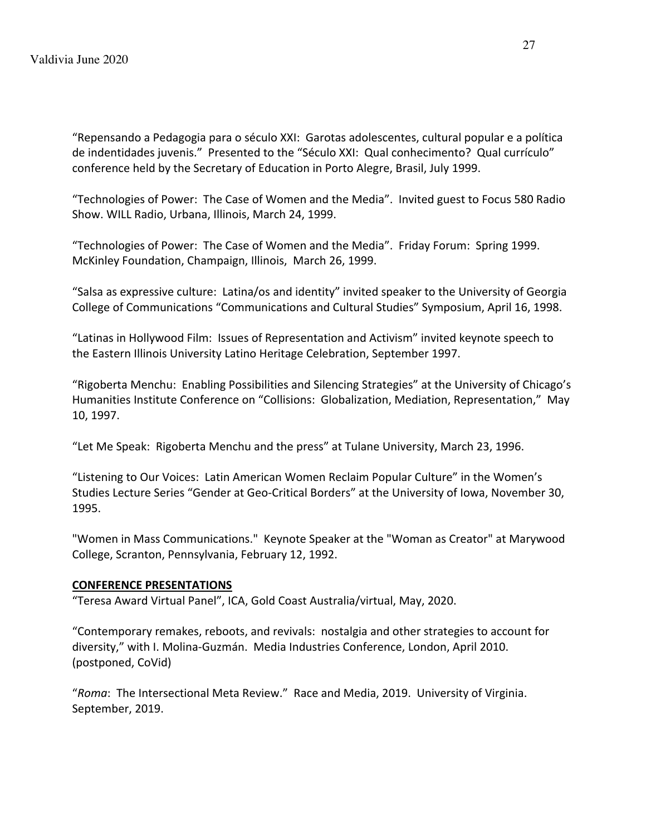"Repensando a Pedagogia para o século XXI: Garotas adolescentes, cultural popular e a política de indentidades juvenis." Presented to the "Século XXI: Qual conhecimento? Qual currículo" conference held by the Secretary of Education in Porto Alegre, Brasil, July 1999.

"Technologies of Power: The Case of Women and the Media". Invited guest to Focus 580 Radio Show. WILL Radio, Urbana, Illinois, March 24, 1999.

"Technologies of Power: The Case of Women and the Media". Friday Forum: Spring 1999. McKinley Foundation, Champaign, Illinois, March 26, 1999.

"Salsa as expressive culture: Latina/os and identity" invited speaker to the University of Georgia College of Communications "Communications and Cultural Studies" Symposium, April 16, 1998.

"Latinas in Hollywood Film: Issues of Representation and Activism" invited keynote speech to the Eastern Illinois University Latino Heritage Celebration, September 1997.

"Rigoberta Menchu: Enabling Possibilities and Silencing Strategies" at the University of Chicago's Humanities Institute Conference on "Collisions: Globalization, Mediation, Representation," May 10, 1997.

"Let Me Speak: Rigoberta Menchu and the press" at Tulane University, March 23, 1996.

"Listening to Our Voices: Latin American Women Reclaim Popular Culture" in the Women's Studies Lecture Series "Gender at Geo-Critical Borders" at the University of Iowa, November 30, 1995.

"Women in Mass Communications." Keynote Speaker at the "Woman as Creator" at Marywood College, Scranton, Pennsylvania, February 12, 1992.

## **CONFERENCE PRESENTATIONS**

"Teresa Award Virtual Panel", ICA, Gold Coast Australia/virtual, May, 2020.

"Contemporary remakes, reboots, and revivals: nostalgia and other strategies to account for diversity," with I. Molina-Guzmán. Media Industries Conference, London, April 2010. (postponed, CoVid)

"*Roma*: The Intersectional Meta Review." Race and Media, 2019. University of Virginia. September, 2019.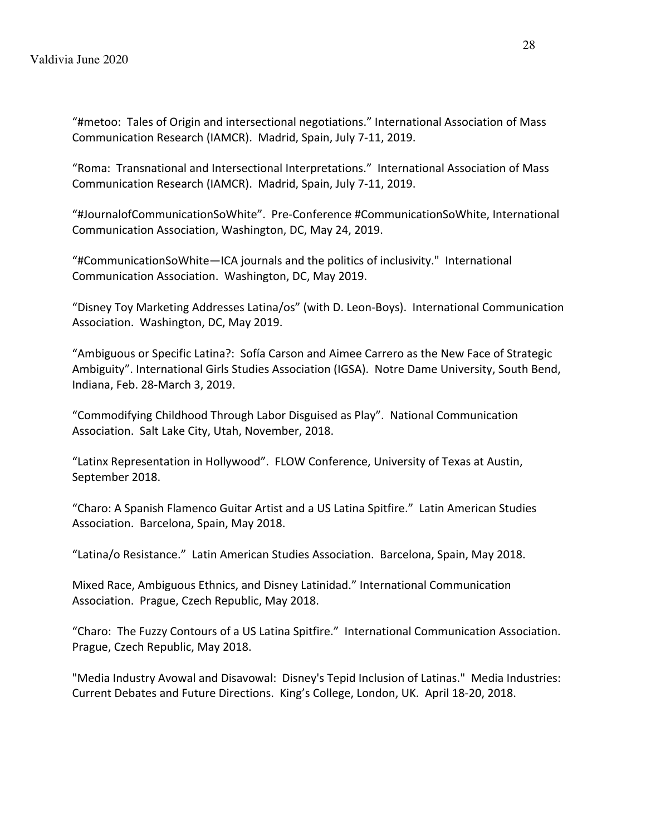"#metoo: Tales of Origin and intersectional negotiations." International Association of Mass Communication Research (IAMCR). Madrid, Spain, July 7-11, 2019.

"Roma: Transnational and Intersectional Interpretations." International Association of Mass Communication Research (IAMCR). Madrid, Spain, July 7-11, 2019.

"#JournalofCommunicationSoWhite". Pre-Conference #CommunicationSoWhite, International Communication Association, Washington, DC, May 24, 2019.

"#CommunicationSoWhite—ICA journals and the politics of inclusivity." International Communication Association. Washington, DC, May 2019.

"Disney Toy Marketing Addresses Latina/os" (with D. Leon-Boys). International Communication Association. Washington, DC, May 2019.

"Ambiguous or Specific Latina?: Sofía Carson and Aimee Carrero as the New Face of Strategic Ambiguity". International Girls Studies Association (IGSA). Notre Dame University, South Bend, Indiana, Feb. 28-March 3, 2019.

"Commodifying Childhood Through Labor Disguised as Play". National Communication Association. Salt Lake City, Utah, November, 2018.

"Latinx Representation in Hollywood". FLOW Conference, University of Texas at Austin, September 2018.

"Charo: A Spanish Flamenco Guitar Artist and a US Latina Spitfire." Latin American Studies Association. Barcelona, Spain, May 2018.

"Latina/o Resistance." Latin American Studies Association. Barcelona, Spain, May 2018.

Mixed Race, Ambiguous Ethnics, and Disney Latinidad." International Communication Association. Prague, Czech Republic, May 2018.

"Charo: The Fuzzy Contours of a US Latina Spitfire." International Communication Association. Prague, Czech Republic, May 2018.

"Media Industry Avowal and Disavowal: Disney's Tepid Inclusion of Latinas." Media Industries: Current Debates and Future Directions. King's College, London, UK. April 18-20, 2018.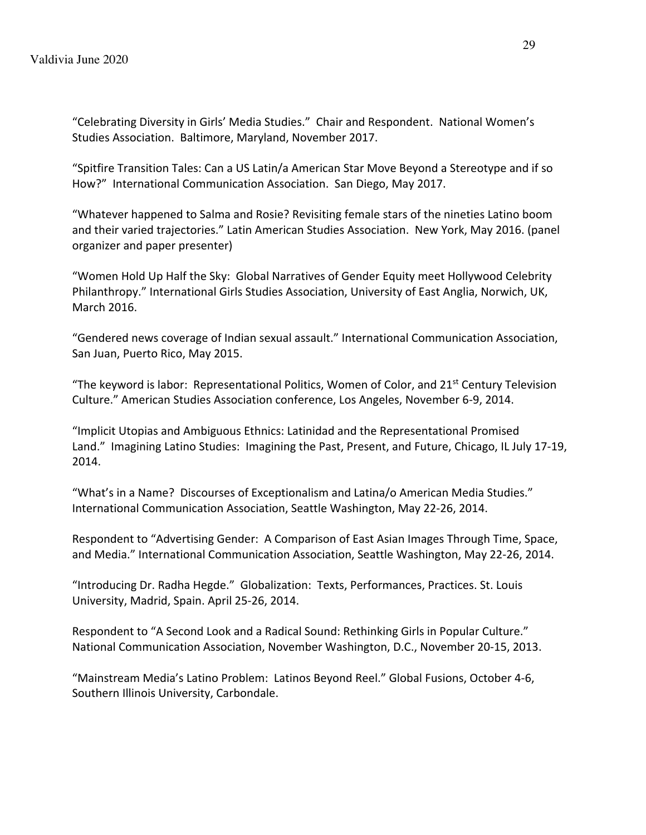"Celebrating Diversity in Girls' Media Studies." Chair and Respondent. National Women's Studies Association. Baltimore, Maryland, November 2017.

"Spitfire Transition Tales: Can a US Latin/a American Star Move Beyond a Stereotype and if so How?" International Communication Association. San Diego, May 2017.

"Whatever happened to Salma and Rosie? Revisiting female stars of the nineties Latino boom and their varied trajectories." Latin American Studies Association. New York, May 2016. (panel organizer and paper presenter)

"Women Hold Up Half the Sky: Global Narratives of Gender Equity meet Hollywood Celebrity Philanthropy." International Girls Studies Association, University of East Anglia, Norwich, UK, March 2016.

"Gendered news coverage of Indian sexual assault." International Communication Association, San Juan, Puerto Rico, May 2015.

"The keyword is labor: Representational Politics, Women of Color, and  $21<sup>st</sup>$  Century Television Culture." American Studies Association conference, Los Angeles, November 6-9, 2014.

"Implicit Utopias and Ambiguous Ethnics: Latinidad and the Representational Promised Land." Imagining Latino Studies: Imagining the Past, Present, and Future, Chicago, IL July 17-19, 2014.

"What's in a Name? Discourses of Exceptionalism and Latina/o American Media Studies." International Communication Association, Seattle Washington, May 22-26, 2014.

Respondent to "Advertising Gender: A Comparison of East Asian Images Through Time, Space, and Media." International Communication Association, Seattle Washington, May 22-26, 2014.

"Introducing Dr. Radha Hegde." Globalization: Texts, Performances, Practices. St. Louis University, Madrid, Spain. April 25-26, 2014.

Respondent to "A Second Look and a Radical Sound: Rethinking Girls in Popular Culture." National Communication Association, November Washington, D.C., November 20-15, 2013.

"Mainstream Media's Latino Problem: Latinos Beyond Reel." Global Fusions, October 4-6, Southern Illinois University, Carbondale.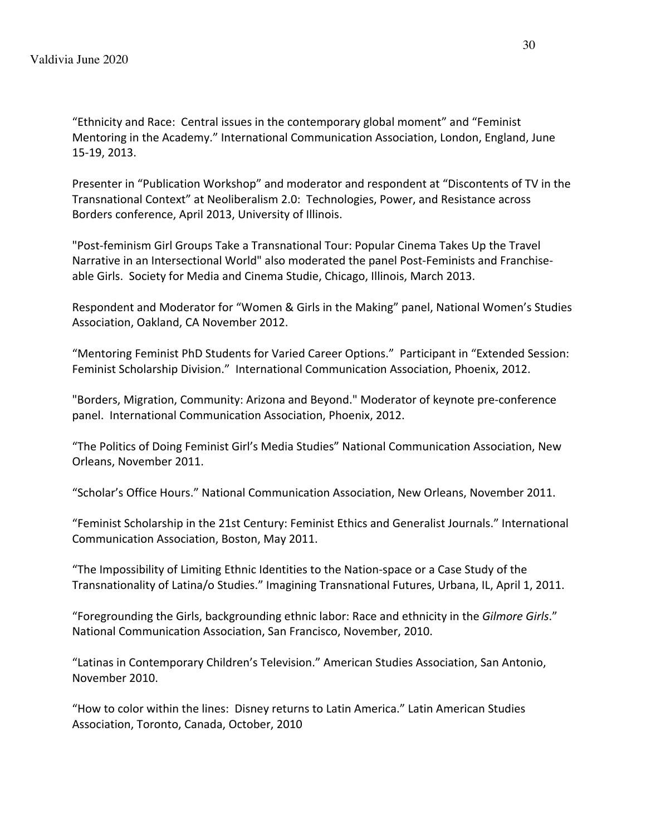"Ethnicity and Race: Central issues in the contemporary global moment" and "Feminist Mentoring in the Academy." International Communication Association, London, England, June 15-19, 2013.

Presenter in "Publication Workshop" and moderator and respondent at "Discontents of TV in the Transnational Context" at Neoliberalism 2.0: Technologies, Power, and Resistance across Borders conference, April 2013, University of Illinois.

"Post-feminism Girl Groups Take a Transnational Tour: Popular Cinema Takes Up the Travel Narrative in an Intersectional World" also moderated the panel Post-Feminists and Franchiseable Girls. Society for Media and Cinema Studie, Chicago, Illinois, March 2013.

Respondent and Moderator for "Women & Girls in the Making" panel, National Women's Studies Association, Oakland, CA November 2012.

"Mentoring Feminist PhD Students for Varied Career Options." Participant in "Extended Session: Feminist Scholarship Division." International Communication Association, Phoenix, 2012.

"Borders, Migration, Community: Arizona and Beyond." Moderator of keynote pre-conference panel. International Communication Association, Phoenix, 2012.

"The Politics of Doing Feminist Girl's Media Studies" National Communication Association, New Orleans, November 2011.

"Scholar's Office Hours." National Communication Association, New Orleans, November 2011.

"Feminist Scholarship in the 21st Century: Feminist Ethics and Generalist Journals." International Communication Association, Boston, May 2011.

"The Impossibility of Limiting Ethnic Identities to the Nation-space or a Case Study of the Transnationality of Latina/o Studies." Imagining Transnational Futures, Urbana, IL, April 1, 2011.

"Foregrounding the Girls, backgrounding ethnic labor: Race and ethnicity in the *Gilmore Girls*." National Communication Association, San Francisco, November, 2010.

"Latinas in Contemporary Children's Television." American Studies Association, San Antonio, November 2010.

"How to color within the lines: Disney returns to Latin America." Latin American Studies Association, Toronto, Canada, October, 2010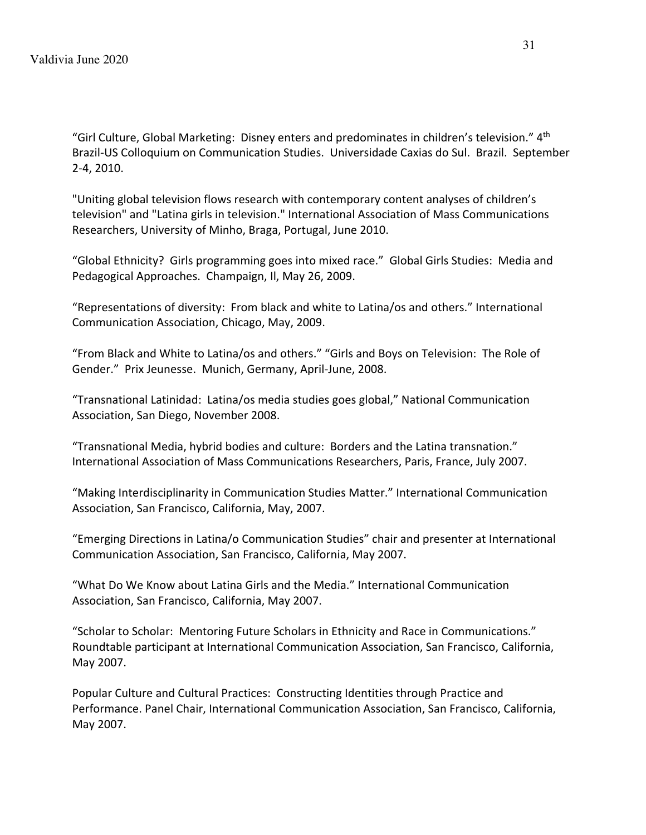"Girl Culture, Global Marketing: Disney enters and predominates in children's television."  $4<sup>th</sup>$ Brazil-US Colloquium on Communication Studies. Universidade Caxias do Sul. Brazil. September 2-4, 2010.

"Uniting global television flows research with contemporary content analyses of children's television" and "Latina girls in television." International Association of Mass Communications Researchers, University of Minho, Braga, Portugal, June 2010.

"Global Ethnicity? Girls programming goes into mixed race." Global Girls Studies: Media and Pedagogical Approaches. Champaign, Il, May 26, 2009.

"Representations of diversity: From black and white to Latina/os and others." International Communication Association, Chicago, May, 2009.

"From Black and White to Latina/os and others." "Girls and Boys on Television: The Role of Gender." Prix Jeunesse. Munich, Germany, April-June, 2008.

"Transnational Latinidad: Latina/os media studies goes global," National Communication Association, San Diego, November 2008.

"Transnational Media, hybrid bodies and culture: Borders and the Latina transnation." International Association of Mass Communications Researchers, Paris, France, July 2007.

"Making Interdisciplinarity in Communication Studies Matter." International Communication Association, San Francisco, California, May, 2007.

"Emerging Directions in Latina/o Communication Studies" chair and presenter at International Communication Association, San Francisco, California, May 2007.

"What Do We Know about Latina Girls and the Media." International Communication Association, San Francisco, California, May 2007.

"Scholar to Scholar: Mentoring Future Scholars in Ethnicity and Race in Communications." Roundtable participant at International Communication Association, San Francisco, California, May 2007.

Popular Culture and Cultural Practices: Constructing Identities through Practice and Performance. Panel Chair, International Communication Association, San Francisco, California, May 2007.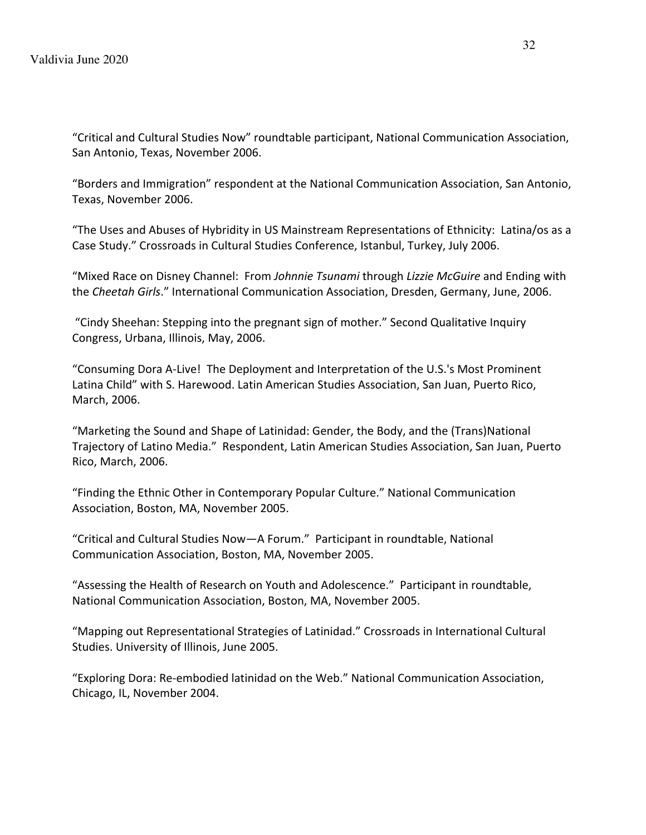"Critical and Cultural Studies Now" roundtable participant, National Communication Association, San Antonio, Texas, November 2006.

"Borders and Immigration" respondent at the National Communication Association, San Antonio, Texas, November 2006.

"The Uses and Abuses of Hybridity in US Mainstream Representations of Ethnicity: Latina/os as a Case Study." Crossroads in Cultural Studies Conference, Istanbul, Turkey, July 2006.

"Mixed Race on Disney Channel: From *Johnnie Tsunami* through *Lizzie McGuire* and Ending with the *Cheetah Girls*." International Communication Association, Dresden, Germany, June, 2006.

"Cindy Sheehan: Stepping into the pregnant sign of mother." Second Qualitative Inquiry Congress, Urbana, Illinois, May, 2006.

"Consuming Dora A-Live! The Deployment and Interpretation of the U.S.'s Most Prominent Latina Child" with S. Harewood. Latin American Studies Association, San Juan, Puerto Rico, March, 2006.

"Marketing the Sound and Shape of Latinidad: Gender, the Body, and the (Trans)National Trajectory of Latino Media." Respondent, Latin American Studies Association, San Juan, Puerto Rico, March, 2006.

"Finding the Ethnic Other in Contemporary Popular Culture." National Communication Association, Boston, MA, November 2005.

"Critical and Cultural Studies Now—A Forum." Participant in roundtable, National Communication Association, Boston, MA, November 2005.

"Assessing the Health of Research on Youth and Adolescence." Participant in roundtable, National Communication Association, Boston, MA, November 2005.

"Mapping out Representational Strategies of Latinidad." Crossroads in International Cultural Studies. University of Illinois, June 2005.

"Exploring Dora: Re-embodied latinidad on the Web." National Communication Association, Chicago, IL, November 2004.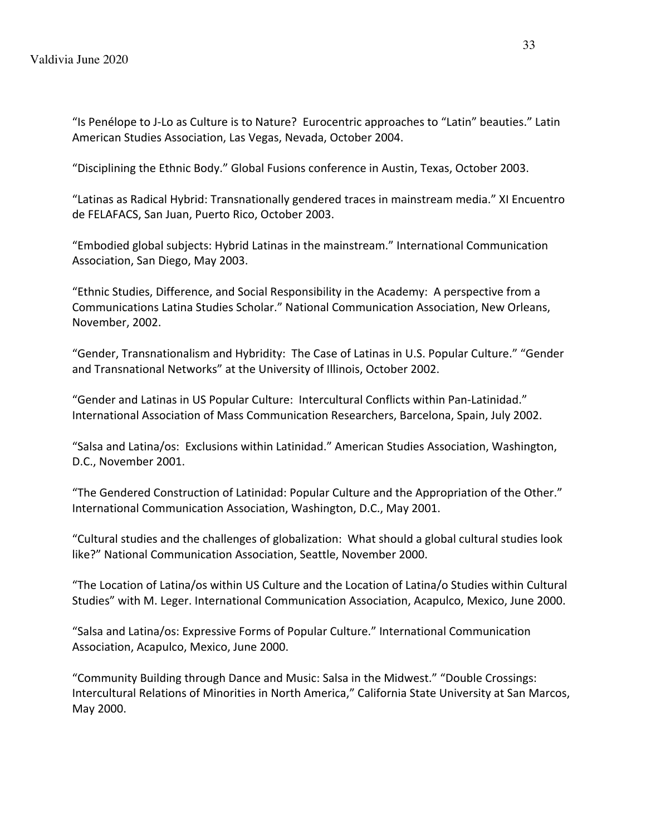"Is Penélope to J-Lo as Culture is to Nature? Eurocentric approaches to "Latin" beauties." Latin American Studies Association, Las Vegas, Nevada, October 2004.

"Disciplining the Ethnic Body." Global Fusions conference in Austin, Texas, October 2003.

"Latinas as Radical Hybrid: Transnationally gendered traces in mainstream media." XI Encuentro de FELAFACS, San Juan, Puerto Rico, October 2003.

"Embodied global subjects: Hybrid Latinas in the mainstream." International Communication Association, San Diego, May 2003.

"Ethnic Studies, Difference, and Social Responsibility in the Academy: A perspective from a Communications Latina Studies Scholar." National Communication Association, New Orleans, November, 2002.

"Gender, Transnationalism and Hybridity: The Case of Latinas in U.S. Popular Culture." "Gender and Transnational Networks" at the University of Illinois, October 2002.

"Gender and Latinas in US Popular Culture: Intercultural Conflicts within Pan-Latinidad." International Association of Mass Communication Researchers, Barcelona, Spain, July 2002.

"Salsa and Latina/os: Exclusions within Latinidad." American Studies Association, Washington, D.C., November 2001.

"The Gendered Construction of Latinidad: Popular Culture and the Appropriation of the Other." International Communication Association, Washington, D.C., May 2001.

"Cultural studies and the challenges of globalization: What should a global cultural studies look like?" National Communication Association, Seattle, November 2000.

"The Location of Latina/os within US Culture and the Location of Latina/o Studies within Cultural Studies" with M. Leger. International Communication Association, Acapulco, Mexico, June 2000.

"Salsa and Latina/os: Expressive Forms of Popular Culture." International Communication Association, Acapulco, Mexico, June 2000.

"Community Building through Dance and Music: Salsa in the Midwest." "Double Crossings: Intercultural Relations of Minorities in North America," California State University at San Marcos, May 2000.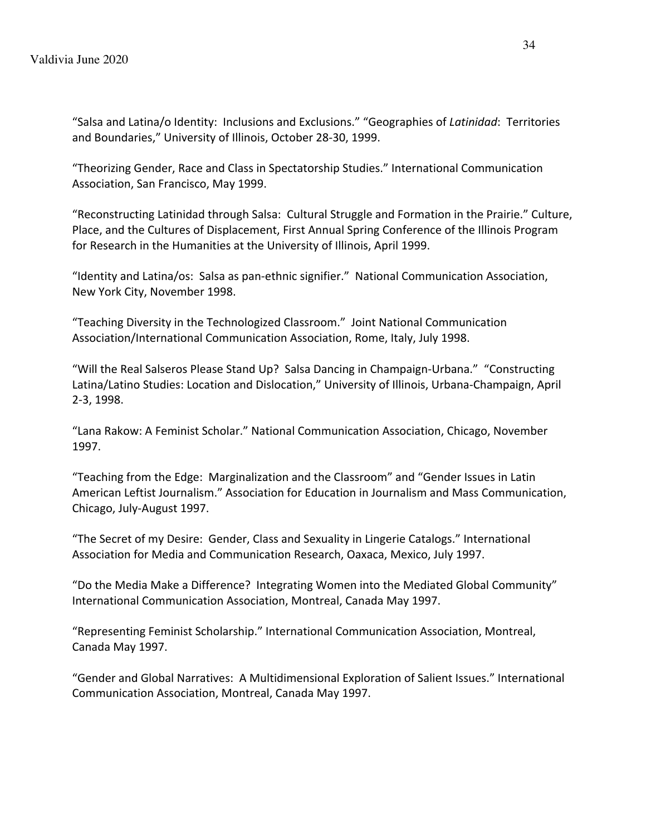"Salsa and Latina/o Identity: Inclusions and Exclusions." "Geographies of *Latinidad*: Territories and Boundaries," University of Illinois, October 28-30, 1999.

"Theorizing Gender, Race and Class in Spectatorship Studies." International Communication Association, San Francisco, May 1999.

"Reconstructing Latinidad through Salsa: Cultural Struggle and Formation in the Prairie." Culture, Place, and the Cultures of Displacement, First Annual Spring Conference of the Illinois Program for Research in the Humanities at the University of Illinois, April 1999.

"Identity and Latina/os: Salsa as pan-ethnic signifier." National Communication Association, New York City, November 1998.

"Teaching Diversity in the Technologized Classroom." Joint National Communication Association/International Communication Association, Rome, Italy, July 1998.

"Will the Real Salseros Please Stand Up? Salsa Dancing in Champaign-Urbana." "Constructing Latina/Latino Studies: Location and Dislocation," University of Illinois, Urbana-Champaign, April 2-3, 1998.

"Lana Rakow: A Feminist Scholar." National Communication Association, Chicago, November 1997.

"Teaching from the Edge: Marginalization and the Classroom" and "Gender Issues in Latin American Leftist Journalism." Association for Education in Journalism and Mass Communication, Chicago, July-August 1997.

"The Secret of my Desire: Gender, Class and Sexuality in Lingerie Catalogs." International Association for Media and Communication Research, Oaxaca, Mexico, July 1997.

"Do the Media Make a Difference? Integrating Women into the Mediated Global Community" International Communication Association, Montreal, Canada May 1997.

"Representing Feminist Scholarship." International Communication Association, Montreal, Canada May 1997.

"Gender and Global Narratives: A Multidimensional Exploration of Salient Issues." International Communication Association, Montreal, Canada May 1997.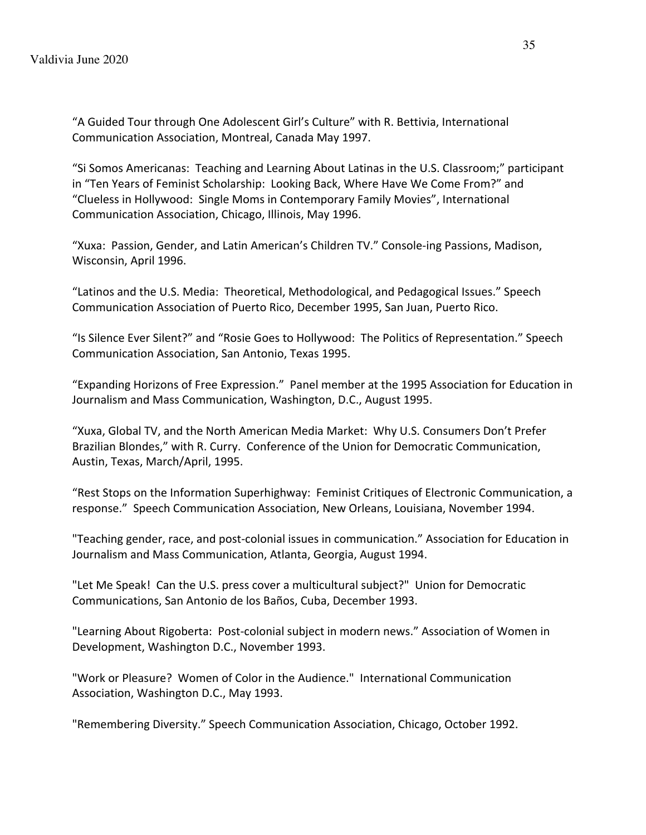"A Guided Tour through One Adolescent Girl's Culture" with R. Bettivia, International Communication Association, Montreal, Canada May 1997.

"Si Somos Americanas: Teaching and Learning About Latinas in the U.S. Classroom;" participant in "Ten Years of Feminist Scholarship: Looking Back, Where Have We Come From?" and "Clueless in Hollywood: Single Moms in Contemporary Family Movies", International Communication Association, Chicago, Illinois, May 1996.

"Xuxa: Passion, Gender, and Latin American's Children TV." Console-ing Passions, Madison, Wisconsin, April 1996.

"Latinos and the U.S. Media: Theoretical, Methodological, and Pedagogical Issues." Speech Communication Association of Puerto Rico, December 1995, San Juan, Puerto Rico.

"Is Silence Ever Silent?" and "Rosie Goes to Hollywood: The Politics of Representation." Speech Communication Association, San Antonio, Texas 1995.

"Expanding Horizons of Free Expression." Panel member at the 1995 Association for Education in Journalism and Mass Communication, Washington, D.C., August 1995.

"Xuxa, Global TV, and the North American Media Market: Why U.S. Consumers Don't Prefer Brazilian Blondes," with R. Curry. Conference of the Union for Democratic Communication, Austin, Texas, March/April, 1995.

"Rest Stops on the Information Superhighway: Feminist Critiques of Electronic Communication, a response." Speech Communication Association, New Orleans, Louisiana, November 1994.

"Teaching gender, race, and post-colonial issues in communication." Association for Education in Journalism and Mass Communication, Atlanta, Georgia, August 1994.

"Let Me Speak! Can the U.S. press cover a multicultural subject?" Union for Democratic Communications, San Antonio de los Baños, Cuba, December 1993.

"Learning About Rigoberta: Post-colonial subject in modern news." Association of Women in Development, Washington D.C., November 1993.

"Work or Pleasure? Women of Color in the Audience." International Communication Association, Washington D.C., May 1993.

"Remembering Diversity." Speech Communication Association, Chicago, October 1992.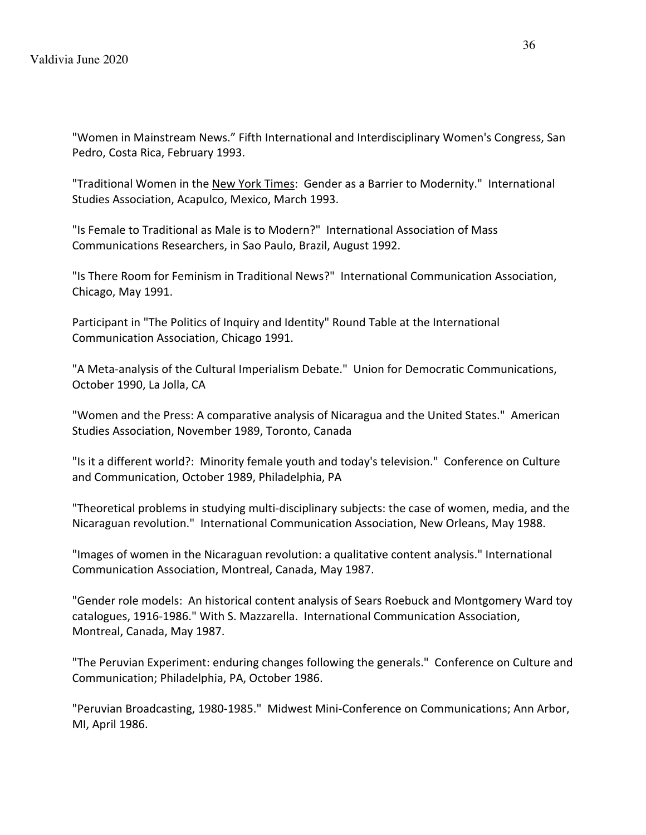"Women in Mainstream News." Fifth International and Interdisciplinary Women's Congress, San Pedro, Costa Rica, February 1993.

"Traditional Women in the New York Times: Gender as a Barrier to Modernity." International Studies Association, Acapulco, Mexico, March 1993.

"Is Female to Traditional as Male is to Modern?" International Association of Mass Communications Researchers, in Sao Paulo, Brazil, August 1992.

"Is There Room for Feminism in Traditional News?" International Communication Association, Chicago, May 1991.

Participant in "The Politics of Inquiry and Identity" Round Table at the International Communication Association, Chicago 1991.

"A Meta-analysis of the Cultural Imperialism Debate." Union for Democratic Communications, October 1990, La Jolla, CA

"Women and the Press: A comparative analysis of Nicaragua and the United States." American Studies Association, November 1989, Toronto, Canada

"Is it a different world?: Minority female youth and today's television." Conference on Culture and Communication, October 1989, Philadelphia, PA

"Theoretical problems in studying multi-disciplinary subjects: the case of women, media, and the Nicaraguan revolution." International Communication Association, New Orleans, May 1988.

"Images of women in the Nicaraguan revolution: a qualitative content analysis." International Communication Association, Montreal, Canada, May 1987.

"Gender role models: An historical content analysis of Sears Roebuck and Montgomery Ward toy catalogues, 1916-1986." With S. Mazzarella. International Communication Association, Montreal, Canada, May 1987.

"The Peruvian Experiment: enduring changes following the generals." Conference on Culture and Communication; Philadelphia, PA, October 1986.

"Peruvian Broadcasting, 1980-1985." Midwest Mini-Conference on Communications; Ann Arbor, MI, April 1986.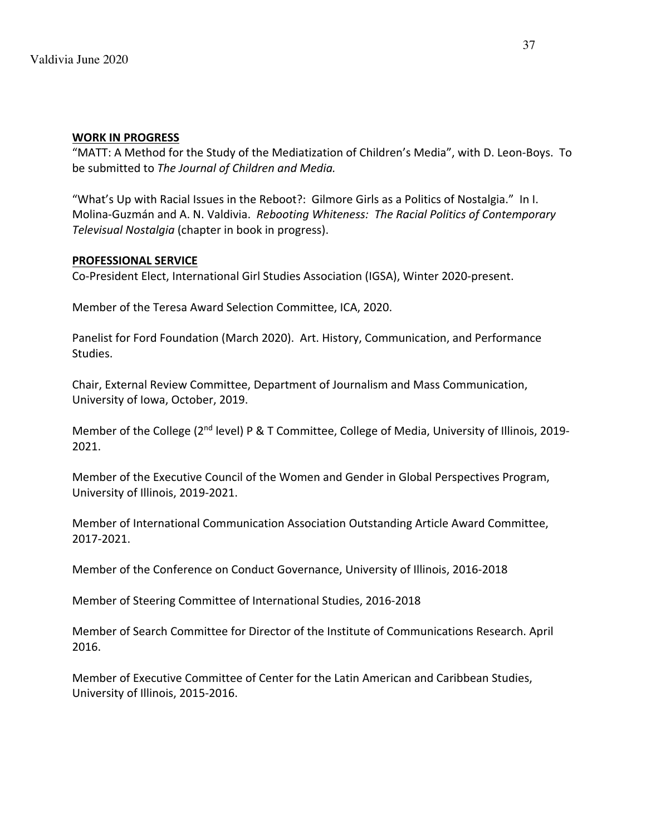### **WORK IN PROGRESS**

"MATT: A Method for the Study of the Mediatization of Children's Media", with D. Leon-Boys. To be submitted to *The Journal of Children and Media.*

"What's Up with Racial Issues in the Reboot?: Gilmore Girls as a Politics of Nostalgia." In I. Molina-Guzmán and A. N. Valdivia. *Rebooting Whiteness: The Racial Politics of Contemporary Televisual Nostalgia* (chapter in book in progress).

## **PROFESSIONAL SERVICE**

Co-President Elect, International Girl Studies Association (IGSA), Winter 2020-present.

Member of the Teresa Award Selection Committee, ICA, 2020.

Panelist for Ford Foundation (March 2020). Art. History, Communication, and Performance Studies.

Chair, External Review Committee, Department of Journalism and Mass Communication, University of Iowa, October, 2019.

Member of the College (2<sup>nd</sup> level) P & T Committee, College of Media, University of Illinois, 2019-2021.

Member of the Executive Council of the Women and Gender in Global Perspectives Program, University of Illinois, 2019-2021.

Member of International Communication Association Outstanding Article Award Committee, 2017-2021.

Member of the Conference on Conduct Governance, University of Illinois, 2016-2018

Member of Steering Committee of International Studies, 2016-2018

Member of Search Committee for Director of the Institute of Communications Research. April 2016.

Member of Executive Committee of Center for the Latin American and Caribbean Studies, University of Illinois, 2015-2016.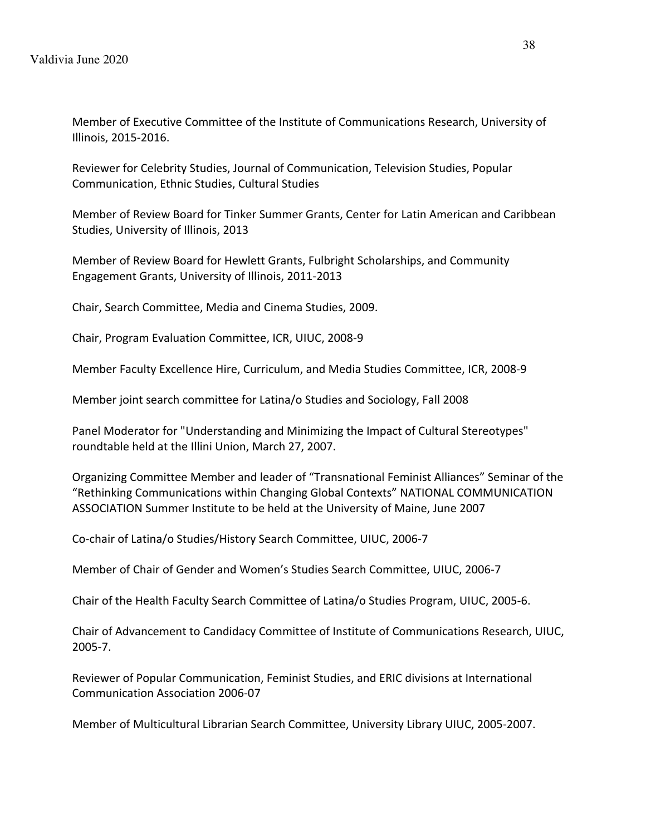Member of Executive Committee of the Institute of Communications Research, University of Illinois, 2015-2016.

Reviewer for Celebrity Studies, Journal of Communication, Television Studies, Popular Communication, Ethnic Studies, Cultural Studies

Member of Review Board for Tinker Summer Grants, Center for Latin American and Caribbean Studies, University of Illinois, 2013

Member of Review Board for Hewlett Grants, Fulbright Scholarships, and Community Engagement Grants, University of Illinois, 2011-2013

Chair, Search Committee, Media and Cinema Studies, 2009.

Chair, Program Evaluation Committee, ICR, UIUC, 2008-9

Member Faculty Excellence Hire, Curriculum, and Media Studies Committee, ICR, 2008-9

Member joint search committee for Latina/o Studies and Sociology, Fall 2008

Panel Moderator for "Understanding and Minimizing the Impact of Cultural Stereotypes" roundtable held at the Illini Union, March 27, 2007.

Organizing Committee Member and leader of "Transnational Feminist Alliances" Seminar of the "Rethinking Communications within Changing Global Contexts" NATIONAL COMMUNICATION ASSOCIATION Summer Institute to be held at the University of Maine, June 2007

Co-chair of Latina/o Studies/History Search Committee, UIUC, 2006-7

Member of Chair of Gender and Women's Studies Search Committee, UIUC, 2006-7

Chair of the Health Faculty Search Committee of Latina/o Studies Program, UIUC, 2005-6.

Chair of Advancement to Candidacy Committee of Institute of Communications Research, UIUC, 2005-7.

Reviewer of Popular Communication, Feminist Studies, and ERIC divisions at International Communication Association 2006-07

Member of Multicultural Librarian Search Committee, University Library UIUC, 2005-2007.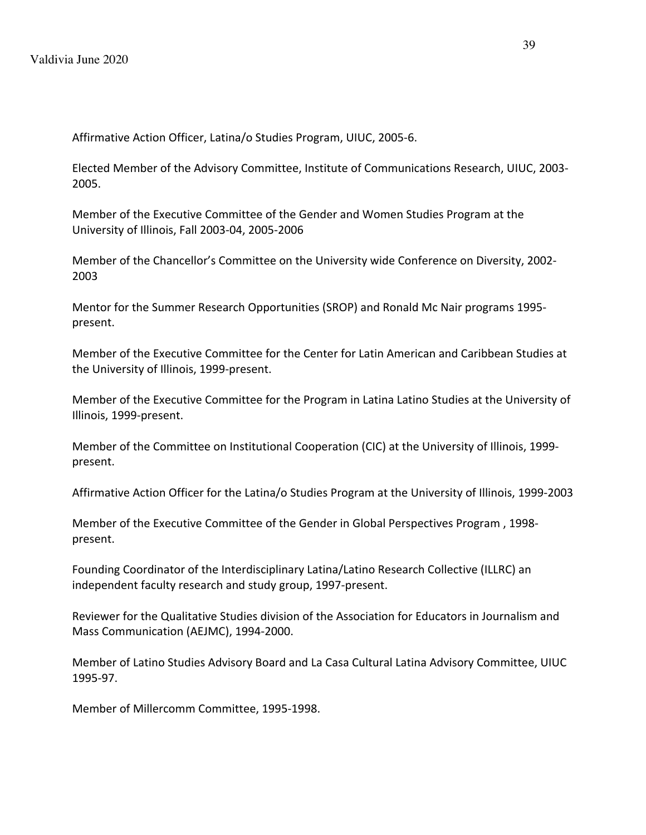Affirmative Action Officer, Latina/o Studies Program, UIUC, 2005-6.

Elected Member of the Advisory Committee, Institute of Communications Research, UIUC, 2003- 2005.

Member of the Executive Committee of the Gender and Women Studies Program at the University of Illinois, Fall 2003-04, 2005-2006

Member of the Chancellor's Committee on the University wide Conference on Diversity, 2002- 2003

Mentor for the Summer Research Opportunities (SROP) and Ronald Mc Nair programs 1995 present.

Member of the Executive Committee for the Center for Latin American and Caribbean Studies at the University of Illinois, 1999-present.

Member of the Executive Committee for the Program in Latina Latino Studies at the University of Illinois, 1999-present.

Member of the Committee on Institutional Cooperation (CIC) at the University of Illinois, 1999 present.

Affirmative Action Officer for the Latina/o Studies Program at the University of Illinois, 1999-2003

Member of the Executive Committee of the Gender in Global Perspectives Program , 1998 present.

Founding Coordinator of the Interdisciplinary Latina/Latino Research Collective (ILLRC) an independent faculty research and study group, 1997-present.

Reviewer for the Qualitative Studies division of the Association for Educators in Journalism and Mass Communication (AEJMC), 1994-2000.

Member of Latino Studies Advisory Board and La Casa Cultural Latina Advisory Committee, UIUC 1995-97.

Member of Millercomm Committee, 1995-1998.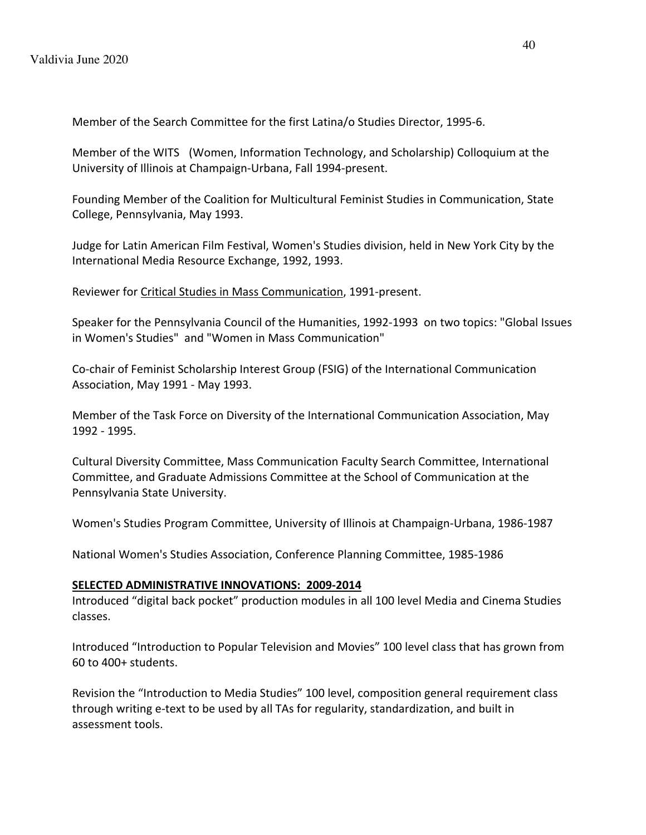Member of the Search Committee for the first Latina/o Studies Director, 1995-6.

Member of the WITS (Women, Information Technology, and Scholarship) Colloquium at the University of Illinois at Champaign-Urbana, Fall 1994-present.

Founding Member of the Coalition for Multicultural Feminist Studies in Communication, State College, Pennsylvania, May 1993.

Judge for Latin American Film Festival, Women's Studies division, held in New York City by the International Media Resource Exchange, 1992, 1993.

Reviewer for Critical Studies in Mass Communication, 1991-present.

Speaker for the Pennsylvania Council of the Humanities, 1992-1993 on two topics: "Global Issues in Women's Studies" and "Women in Mass Communication"

Co-chair of Feminist Scholarship Interest Group (FSIG) of the International Communication Association, May 1991 - May 1993.

Member of the Task Force on Diversity of the International Communication Association, May 1992 - 1995.

Cultural Diversity Committee, Mass Communication Faculty Search Committee, International Committee, and Graduate Admissions Committee at the School of Communication at the Pennsylvania State University.

Women's Studies Program Committee, University of Illinois at Champaign-Urbana, 1986-1987

National Women's Studies Association, Conference Planning Committee, 1985-1986

### **SELECTED ADMINISTRATIVE INNOVATIONS: 2009-2014**

Introduced "digital back pocket" production modules in all 100 level Media and Cinema Studies classes.

Introduced "Introduction to Popular Television and Movies" 100 level class that has grown from 60 to 400+ students.

Revision the "Introduction to Media Studies" 100 level, composition general requirement class through writing e-text to be used by all TAs for regularity, standardization, and built in assessment tools.